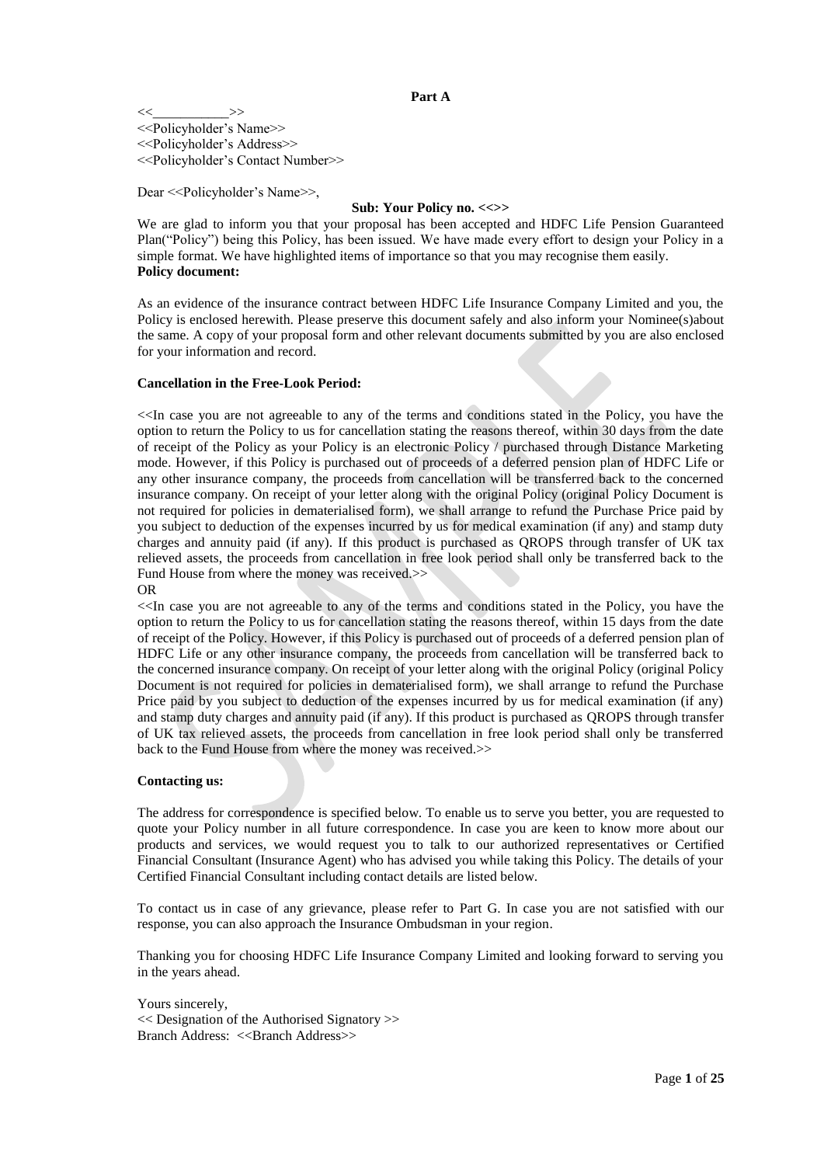$\ll$   $\gg$ <<Policyholder's Name>> <<Policyholder's Address>> <<Policyholder's Contact Number>>

Dear << Policyholder's Name >>,

#### **Sub: Your Policy no. <<>>**

We are glad to inform you that your proposal has been accepted and HDFC Life Pension Guaranteed Plan("Policy") being this Policy, has been issued. We have made every effort to design your Policy in a simple format. We have highlighted items of importance so that you may recognise them easily. **Policy document:**

As an evidence of the insurance contract between HDFC Life Insurance Company Limited and you, the Policy is enclosed herewith. Please preserve this document safely and also inform your Nominee(s)about the same. A copy of your proposal form and other relevant documents submitted by you are also enclosed for your information and record.

#### **Cancellation in the Free-Look Period:**

<<In case you are not agreeable to any of the terms and conditions stated in the Policy, you have the option to return the Policy to us for cancellation stating the reasons thereof, within 30 days from the date of receipt of the Policy as your Policy is an electronic Policy / purchased through Distance Marketing mode. However, if this Policy is purchased out of proceeds of a deferred pension plan of HDFC Life or any other insurance company, the proceeds from cancellation will be transferred back to the concerned insurance company. On receipt of your letter along with the original Policy (original Policy Document is not required for policies in dematerialised form), we shall arrange to refund the Purchase Price paid by you subject to deduction of the expenses incurred by us for medical examination (if any) and stamp duty charges and annuity paid (if any). If this product is purchased as QROPS through transfer of UK tax relieved assets, the proceeds from cancellation in free look period shall only be transferred back to the Fund House from where the money was received.>> OR

<<In case you are not agreeable to any of the terms and conditions stated in the Policy, you have the option to return the Policy to us for cancellation stating the reasons thereof, within 15 days from the date of receipt of the Policy. However, if this Policy is purchased out of proceeds of a deferred pension plan of HDFC Life or any other insurance company, the proceeds from cancellation will be transferred back to the concerned insurance company. On receipt of your letter along with the original Policy (original Policy Document is not required for policies in dematerialised form), we shall arrange to refund the Purchase Price paid by you subject to deduction of the expenses incurred by us for medical examination (if any) and stamp duty charges and annuity paid (if any). If this product is purchased as QROPS through transfer of UK tax relieved assets, the proceeds from cancellation in free look period shall only be transferred back to the Fund House from where the money was received.>>

#### **Contacting us:**

The address for correspondence is specified below. To enable us to serve you better, you are requested to quote your Policy number in all future correspondence. In case you are keen to know more about our products and services, we would request you to talk to our authorized representatives or Certified Financial Consultant (Insurance Agent) who has advised you while taking this Policy. The details of your Certified Financial Consultant including contact details are listed below.

To contact us in case of any grievance, please refer to Part G. In case you are not satisfied with our response, you can also approach the Insurance Ombudsman in your region.

Thanking you for choosing HDFC Life Insurance Company Limited and looking forward to serving you in the years ahead.

Yours sincerely, << Designation of the Authorised Signatory >> Branch Address: <<Br/>SBranch Address>>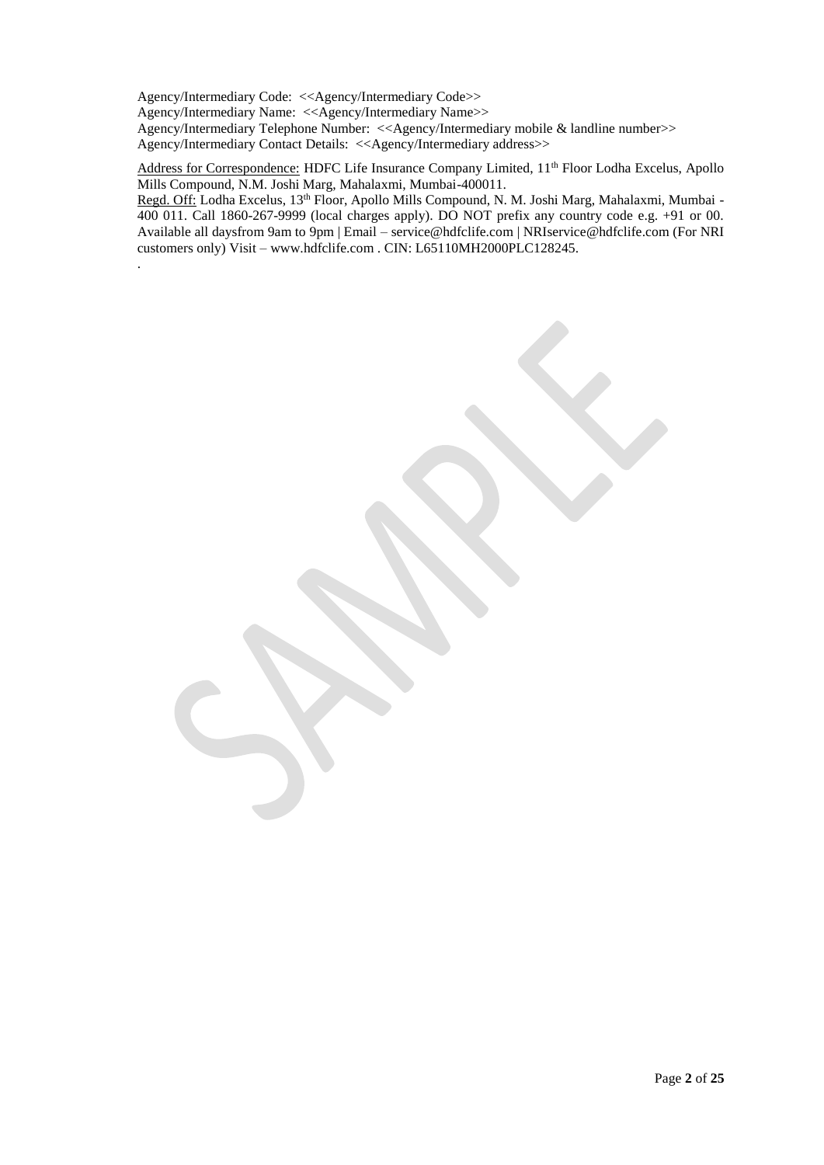Agency/Intermediary Code: <<Agency/Intermediary Code>> Agency/Intermediary Name: <<Agency/Intermediary Name>> Agency/Intermediary Telephone Number: <<Agency/Intermediary mobile & landline number>> Agency/Intermediary Contact Details: <<Agency/Intermediary address>>

.

Address for Correspondence: HDFC Life Insurance Company Limited, 11<sup>th</sup> Floor Lodha Excelus, Apollo Mills Compound, N.M. Joshi Marg, Mahalaxmi, Mumbai-400011.

Regd. Off: Lodha Excelus, 13<sup>th</sup> Floor, Apollo Mills Compound, N. M. Joshi Marg, Mahalaxmi, Mumbai -400 011. Call 1860-267-9999 (local charges apply). DO NOT prefix any country code e.g. +91 or 00. Available all daysfrom 9am to 9pm | Email – [service@hdfclife.com |](mailto:service@hdfclife.com) [NRIservice@hdfclife.com \(](mailto:NRIservice@hdfclife.com)For NRI customers only) Visit – [www.hdfclife.com .](http://www.hdfclife.com/) CIN: L65110MH2000PLC128245.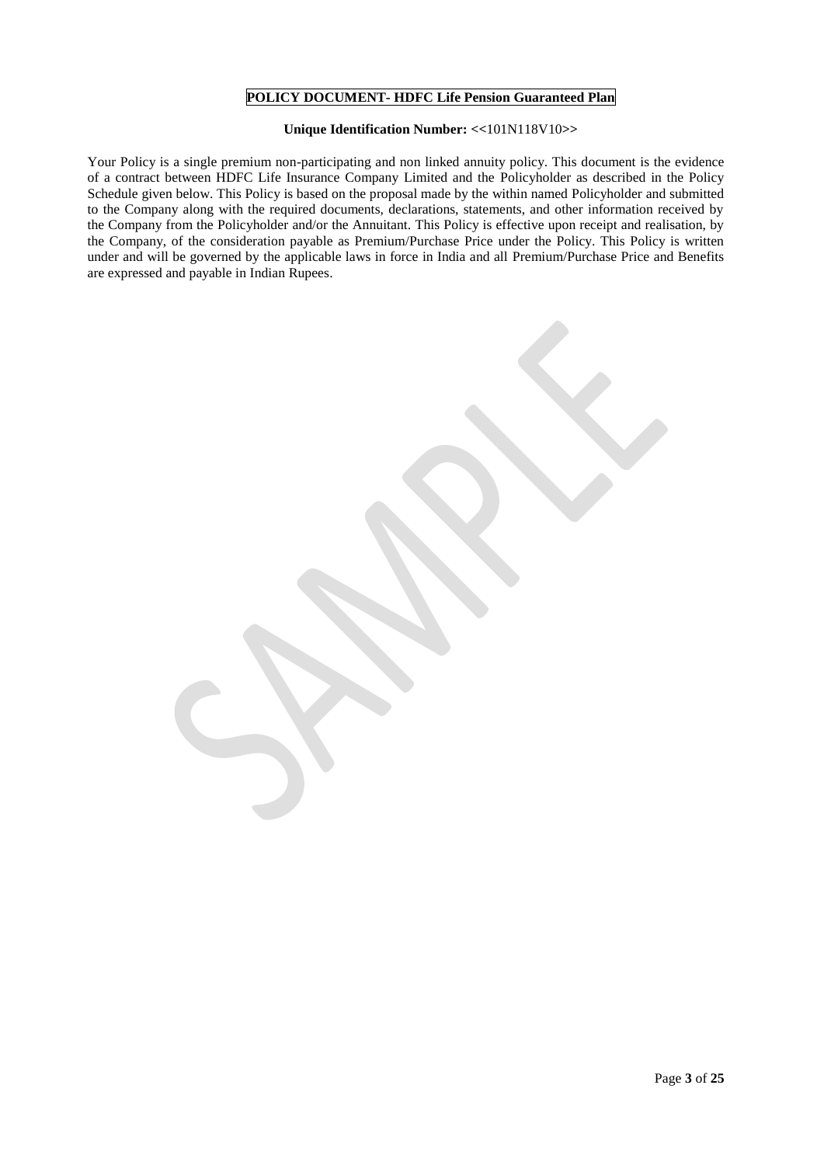## **POLICY DOCUMENT- HDFC Life Pension Guaranteed Plan**

# **Unique Identification Number: <<**101N118V10**>>**

Your Policy is a single premium non-participating and non linked annuity policy. This document is the evidence of a contract between HDFC Life Insurance Company Limited and the Policyholder as described in the Policy Schedule given below. This Policy is based on the proposal made by the within named Policyholder and submitted to the Company along with the required documents, declarations, statements, and other information received by the Company from the Policyholder and/or the Annuitant. This Policy is effective upon receipt and realisation, by the Company, of the consideration payable as Premium/Purchase Price under the Policy. This Policy is written under and will be governed by the applicable laws in force in India and all Premium/Purchase Price and Benefits are expressed and payable in Indian Rupees.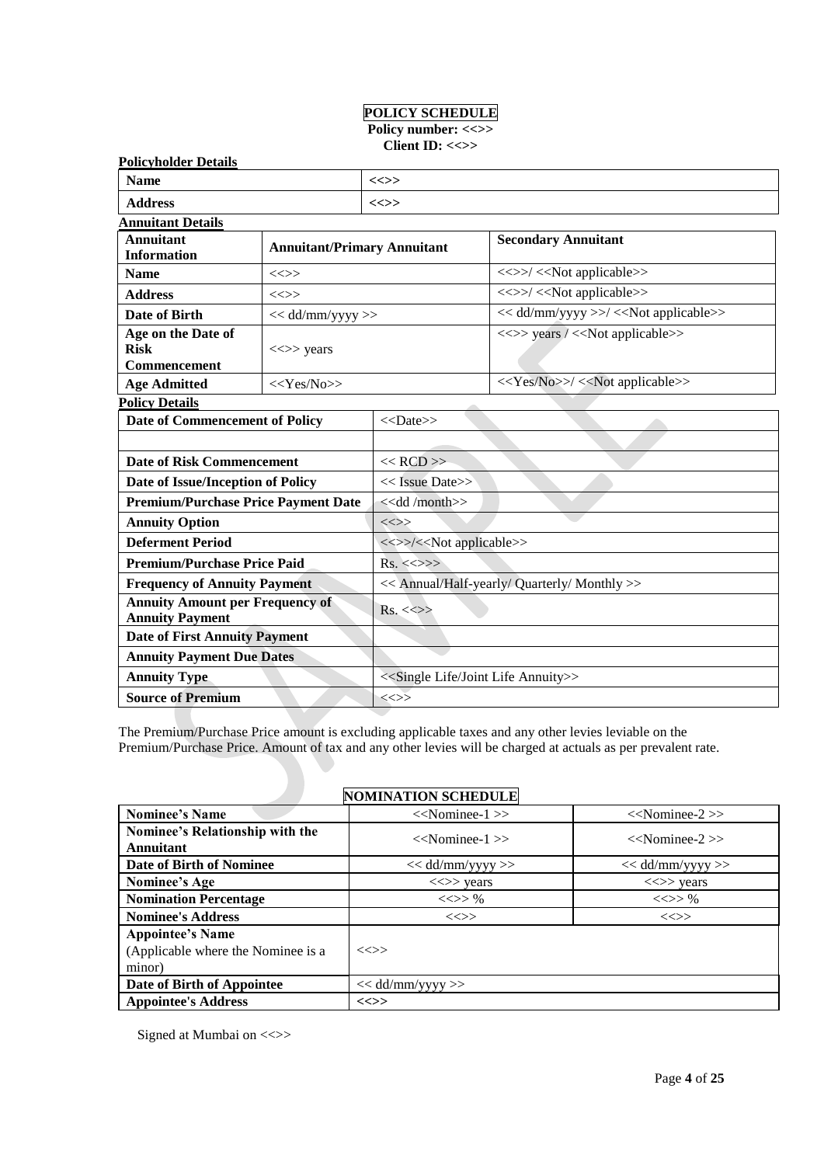# **POLICY SCHEDULE**  Policy number: <<>>

| <b>Policyholder Details</b>                                                  |                    |                                              |                                                           |  |
|------------------------------------------------------------------------------|--------------------|----------------------------------------------|-----------------------------------------------------------|--|
| <b>Name</b>                                                                  |                    | <<>>                                         |                                                           |  |
| <b>Address</b>                                                               |                    | <<>>                                         |                                                           |  |
| <b>Annuitant Details</b>                                                     |                    |                                              |                                                           |  |
| <b>Annuitant</b><br><b>Annuitant/Primary Annuitant</b><br><b>Information</b> |                    |                                              | <b>Secondary Annuitant</b>                                |  |
| <b>Name</b>                                                                  | $\iff$             |                                              | <<>>/< <not applicable="">&gt;</not>                      |  |
| <b>Address</b>                                                               | $\iff$             |                                              | <<>>/< <not applicable="">&gt;</not>                      |  |
| Date of Birth                                                                | $<<$ dd/mm/yyyy >> |                                              | << dd/mm/yyyy >>/ << Not applicable>>                     |  |
| Age on the Date of<br><b>Risk</b><br><b>Commencement</b>                     | $\ll >>$ years     |                                              | <<>> years / << Not applicable>>                          |  |
| <b>Age Admitted</b>                                                          | $<<$ Yes/No>>      |                                              | < <yes no="">&gt;/&lt;<not applicable="">&gt;</not></yes> |  |
| <b>Policy Details</b>                                                        |                    |                                              |                                                           |  |
| Date of Commencement of Policy                                               |                    | $<<$ Date>>                                  |                                                           |  |
|                                                                              |                    |                                              |                                                           |  |
| <b>Date of Risk Commencement</b>                                             |                    | $<<$ RCD $>>$                                |                                                           |  |
| Date of Issue/Inception of Policy                                            |                    | $<<$ Issue Date>>                            |                                                           |  |
| <b>Premium/Purchase Price Payment Date</b>                                   |                    | < <dd month="">&gt;</dd>                     |                                                           |  |
| <b>Annuity Option</b>                                                        |                    | $\iff$                                       |                                                           |  |
| <b>Deferment Period</b>                                                      |                    |                                              | <<>>/< <not applicable="">&gt;</not>                      |  |
| <b>Premium/Purchase Price Paid</b>                                           |                    | $Rs. \ll\gg\gg$                              |                                                           |  |
| <b>Frequency of Annuity Payment</b>                                          |                    | << Annual/Half-yearly/ Quarterly/ Monthly >> |                                                           |  |
| <b>Annuity Amount per Frequency of</b><br><b>Annuity Payment</b>             |                    | $Rs. < \Leftrightarrow$                      |                                                           |  |
| <b>Date of First Annuity Payment</b>                                         |                    |                                              |                                                           |  |
| <b>Annuity Payment Due Dates</b>                                             |                    |                                              |                                                           |  |
| <b>Annuity Type</b>                                                          |                    |                                              | < <single annuity="" joint="" life="">&gt;</single>       |  |
| <b>Source of Premium</b>                                                     |                    | $\iff$                                       |                                                           |  |

The Premium/Purchase Price amount is excluding applicable taxes and any other levies leviable on the Premium/Purchase Price. Amount of tax and any other levies will be charged at actuals as per prevalent rate.

# **NOMINATION SCHEDULE**

| <b>Nominee's Name</b>                                                   | $<<$ Nominee-1 $>>$                     | $<<$ Nominee-2 $>>$                     |
|-------------------------------------------------------------------------|-----------------------------------------|-----------------------------------------|
| Nominee's Relationship with the<br><b>Annuitant</b>                     | $<<$ Nominee-1 $>>$                     | $<<$ Nominee-2 $>>$                     |
| Date of Birth of Nominee                                                | $<<$ dd/mm/yyyy >>                      | $<<$ dd/mm/yyyy >>                      |
| Nominee's Age                                                           | $\langle \langle \rangle \rangle$ years | $\langle \langle \rangle \rangle$ years |
| <b>Nomination Percentage</b>                                            | $<<>>\%$                                | $\ll >> \%$                             |
| <b>Nominee's Address</b>                                                | $\iff$                                  | $\iff$                                  |
| <b>Appointee's Name</b><br>(Applicable where the Nominee is a<br>minor) | $\iff$                                  |                                         |
| Date of Birth of Appointee                                              | $<<$ dd/mm/yyyy >>                      |                                         |
| <b>Appointee's Address</b>                                              | $\ll >>$                                |                                         |

Signed at Mumbai on <<>>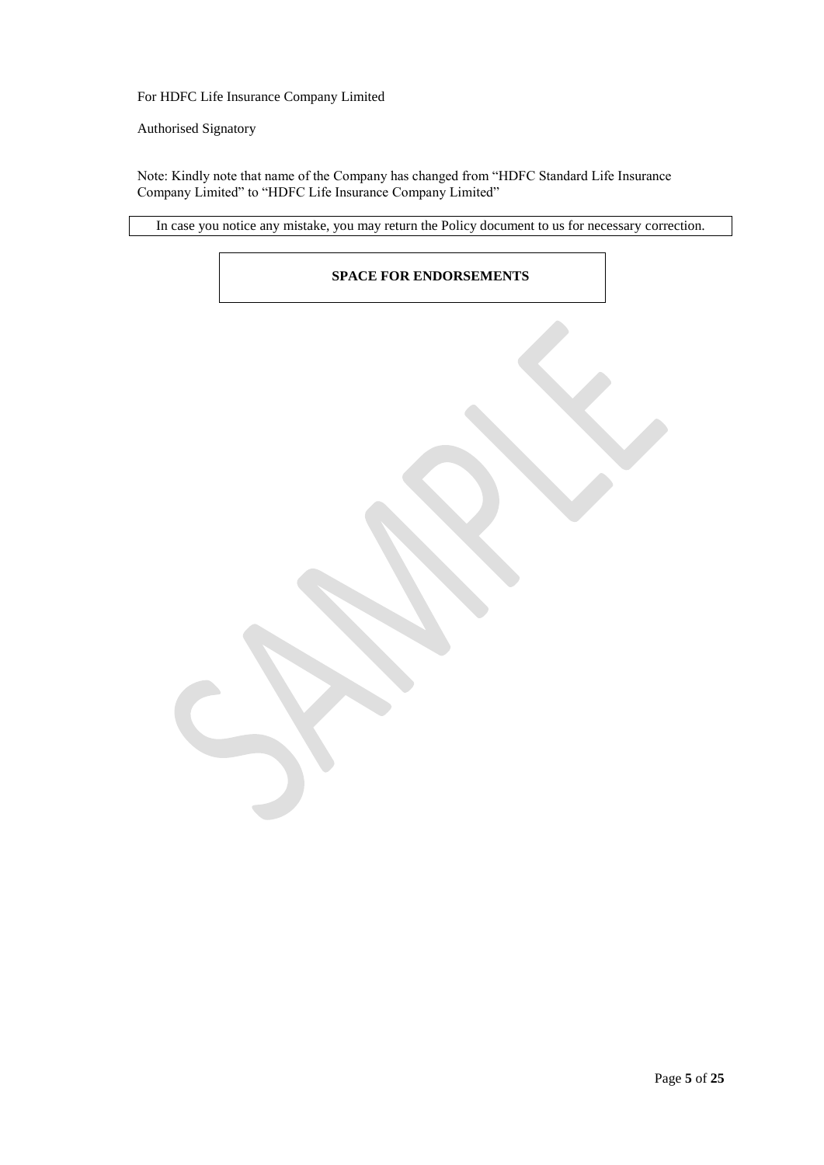For HDFC Life Insurance Company Limited

Authorised Signatory

Note: Kindly note that name of the Company has changed from "HDFC Standard Life Insurance Company Limited" to "HDFC Life Insurance Company Limited"

In case you notice any mistake, you may return the Policy document to us for necessary correction.

# **SPACE FOR ENDORSEMENTS**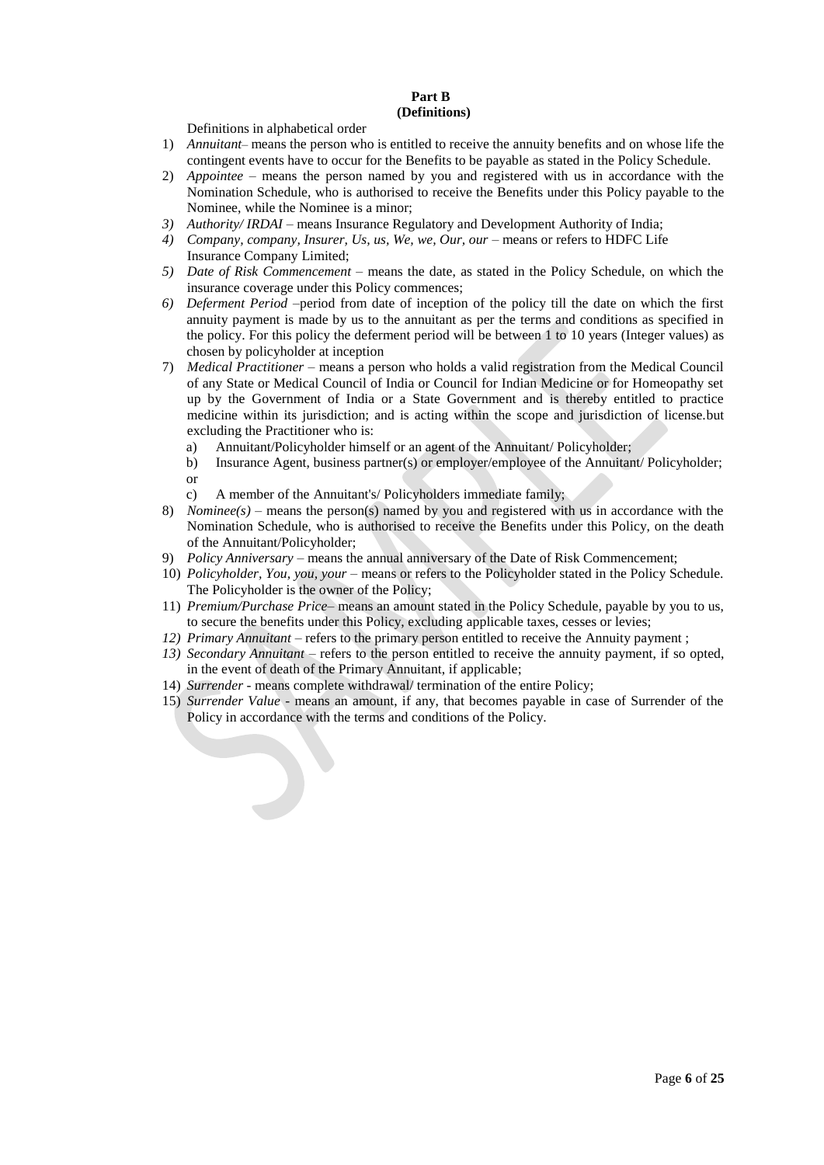# **Part B (Definitions)**

Definitions in alphabetical order

- 1) *Annuitant–* means the person who is entitled to receive the annuity benefits and on whose life the contingent events have to occur for the Benefits to be payable as stated in the Policy Schedule.
- 2) *Appointee –* means the person named by you and registered with us in accordance with the Nomination Schedule, who is authorised to receive the Benefits under this Policy payable to the Nominee, while the Nominee is a minor;
- *3) Authority/ IRDAI* means Insurance Regulatory and Development Authority of India;
- 4) *Company, company, Insurer, Us, us, We, we, Our, our –* means or refers to HDFC Life Insurance Company Limited;
- *5) Date of Risk Commencement –* means the date, as stated in the Policy Schedule, on which the insurance coverage under this Policy commences;
- *6) Deferment Period* –period from date of inception of the policy till the date on which the first annuity payment is made by us to the annuitant as per the terms and conditions as specified in the policy. For this policy the deferment period will be between 1 to 10 years (Integer values) as chosen by policyholder at inception
- 7) *Medical Practitioner*  means a person who holds a valid registration from the Medical Council of any State or Medical Council of India or Council for Indian Medicine or for Homeopathy set up by the Government of India or a State Government and is thereby entitled to practice medicine within its jurisdiction; and is acting within the scope and jurisdiction of license.but excluding the Practitioner who is:
	- a) Annuitant/Policyholder himself or an agent of the Annuitant/ Policyholder;
	- b) Insurance Agent, business partner(s) or employer/employee of the Annuitant/ Policyholder; or
	- c) A member of the Annuitant's/ Policyholders immediate family;
- 8) *Nominee(s) –* means the person(s) named by you and registered with us in accordance with the Nomination Schedule, who is authorised to receive the Benefits under this Policy, on the death of the Annuitant/Policyholder;
- 9) *Policy Anniversary* means the annual anniversary of the Date of Risk Commencement;
- 10) *Policyholder, You, you, your* means or refers to the Policyholder stated in the Policy Schedule. The Policyholder is the owner of the Policy;
- 11) *Premium/Purchase Price* means an amount stated in the Policy Schedule, payable by you to us, to secure the benefits under this Policy, excluding applicable taxes, cesses or levies;
- *12) Primary Annuitant* refers to the primary person entitled to receive the Annuity payment;
- *13) Secondary Annuitant* refers to the person entitled to receive the annuity payment, if so opted, in the event of death of the Primary Annuitant, if applicable;
- 14) *Surrender* means complete withdrawal/ termination of the entire Policy;
- 15) *Surrender Value* means an amount, if any, that becomes payable in case of Surrender of the Policy in accordance with the terms and conditions of the Policy.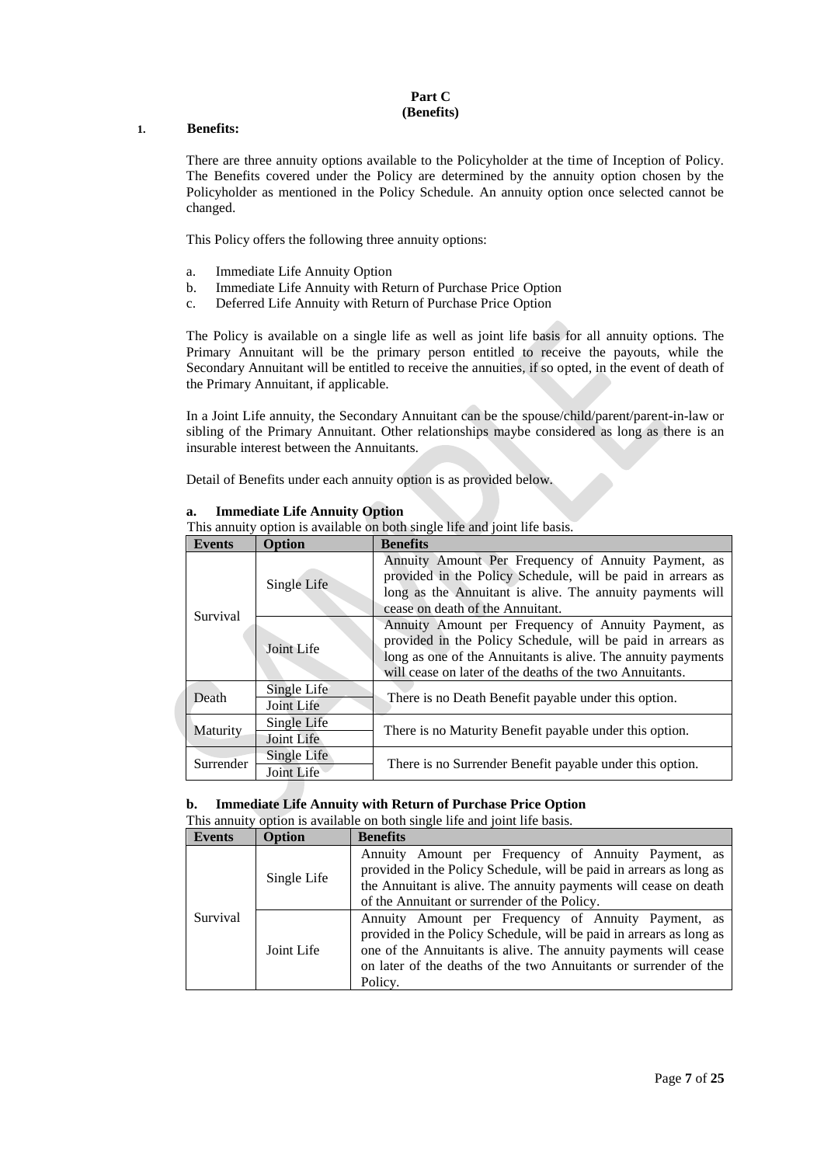## **Part C (Benefits)**

## **1. Benefits:**

There are three annuity options available to the Policyholder at the time of Inception of Policy. The Benefits covered under the Policy are determined by the annuity option chosen by the Policyholder as mentioned in the Policy Schedule. An annuity option once selected cannot be changed.

This Policy offers the following three annuity options:

- a. Immediate Life Annuity Option
- b. Immediate Life Annuity with Return of Purchase Price Option
- c. Deferred Life Annuity with Return of Purchase Price Option

The Policy is available on a single life as well as joint life basis for all annuity options. The Primary Annuitant will be the primary person entitled to receive the payouts, while the Secondary Annuitant will be entitled to receive the annuities, if so opted, in the event of death of the Primary Annuitant, if applicable.

In a Joint Life annuity, the Secondary Annuitant can be the spouse/child/parent/parent-in-law or sibling of the Primary Annuitant. Other relationships maybe considered as long as there is an insurable interest between the Annuitants.

Detail of Benefits under each annuity option is as provided below.

| This annuity option is available on both single life and joint life basis. |                           |                                                                                                                                                                                                                                                |  |
|----------------------------------------------------------------------------|---------------------------|------------------------------------------------------------------------------------------------------------------------------------------------------------------------------------------------------------------------------------------------|--|
| <b>Events</b>                                                              | <b>Option</b>             | <b>Benefits</b>                                                                                                                                                                                                                                |  |
|                                                                            | Single Life               | Annuity Amount Per Frequency of Annuity Payment, as<br>provided in the Policy Schedule, will be paid in arrears as<br>long as the Annuitant is alive. The annuity payments will<br>cease on death of the Annuitant.                            |  |
| Survival                                                                   | Joint Life                | Annuity Amount per Frequency of Annuity Payment, as<br>provided in the Policy Schedule, will be paid in arrears as<br>long as one of the Annuitants is alive. The annuity payments<br>will cease on later of the deaths of the two Annuitants. |  |
| Death                                                                      | Single Life<br>Joint Life | There is no Death Benefit payable under this option.                                                                                                                                                                                           |  |
| Maturity                                                                   | Single Life<br>Joint Life | There is no Maturity Benefit payable under this option.                                                                                                                                                                                        |  |
| Surrender                                                                  | Single Life<br>Joint Life | There is no Surrender Benefit payable under this option.                                                                                                                                                                                       |  |

**a. Immediate Life Annuity Option**

# **b. Immediate Life Annuity with Return of Purchase Price Option**

This annuity option is available on both single life and joint life basis.

| <b>Events</b> | Option      | <b>Benefits</b>                                                                                                                                                                                                                                                              |  |  |
|---------------|-------------|------------------------------------------------------------------------------------------------------------------------------------------------------------------------------------------------------------------------------------------------------------------------------|--|--|
|               | Single Life | Annuity Amount per Frequency of Annuity Payment, as<br>provided in the Policy Schedule, will be paid in arrears as long as<br>the Annuitant is alive. The annuity payments will cease on death<br>of the Annuitant or surrender of the Policy.                               |  |  |
| Survival      | Joint Life  | Annuity Amount per Frequency of Annuity Payment, as<br>provided in the Policy Schedule, will be paid in arrears as long as<br>one of the Annuitants is alive. The annuity payments will cease<br>on later of the deaths of the two Annuitants or surrender of the<br>Policy. |  |  |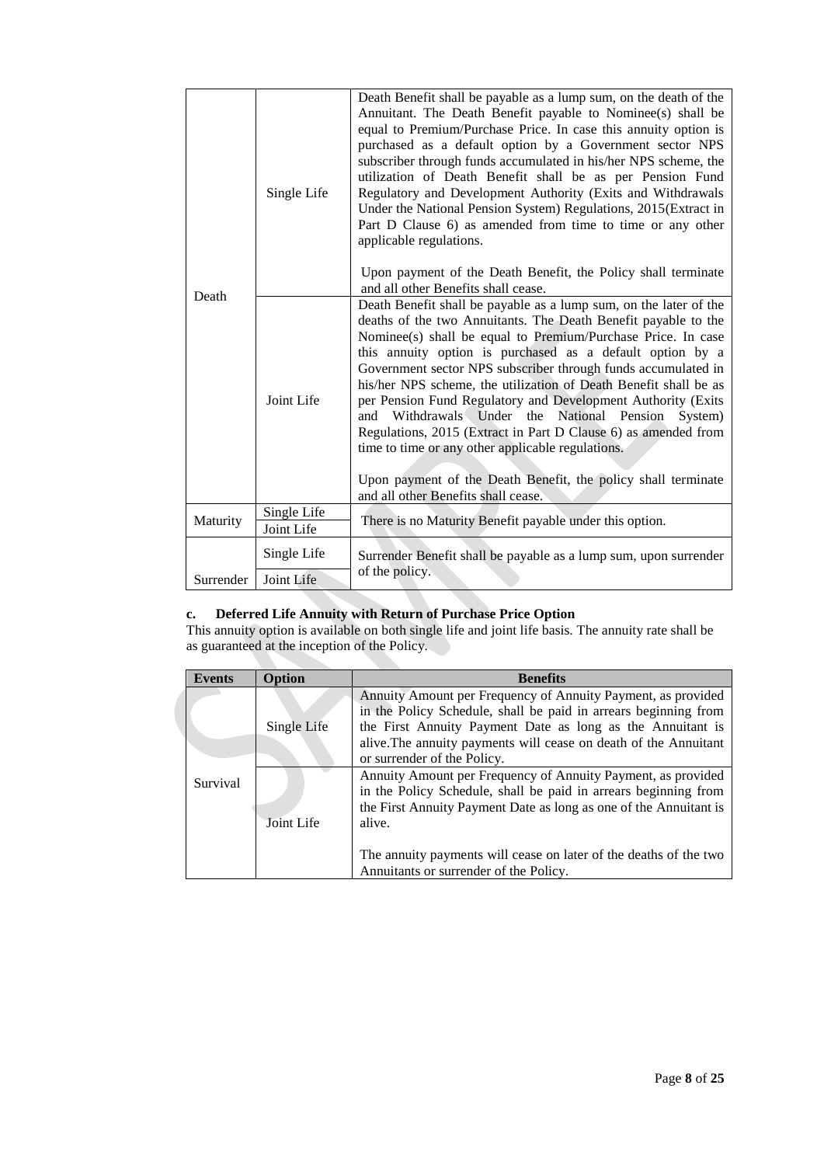| Single Life |                           | Death Benefit shall be payable as a lump sum, on the death of the<br>Annuitant. The Death Benefit payable to Nominee(s) shall be<br>equal to Premium/Purchase Price. In case this annuity option is<br>purchased as a default option by a Government sector NPS<br>subscriber through funds accumulated in his/her NPS scheme, the<br>utilization of Death Benefit shall be as per Pension Fund<br>Regulatory and Development Authority (Exits and Withdrawals<br>Under the National Pension System) Regulations, 2015(Extract in<br>Part D Clause 6) as amended from time to time or any other<br>applicable regulations.<br>Upon payment of the Death Benefit, the Policy shall terminate<br>and all other Benefits shall cease.                            |  |
|-------------|---------------------------|---------------------------------------------------------------------------------------------------------------------------------------------------------------------------------------------------------------------------------------------------------------------------------------------------------------------------------------------------------------------------------------------------------------------------------------------------------------------------------------------------------------------------------------------------------------------------------------------------------------------------------------------------------------------------------------------------------------------------------------------------------------|--|
| Death       | Joint Life                | Death Benefit shall be payable as a lump sum, on the later of the<br>deaths of the two Annuitants. The Death Benefit payable to the<br>Nominee(s) shall be equal to Premium/Purchase Price. In case<br>this annuity option is purchased as a default option by a<br>Government sector NPS subscriber through funds accumulated in<br>his/her NPS scheme, the utilization of Death Benefit shall be as<br>per Pension Fund Regulatory and Development Authority (Exits<br>and Withdrawals Under the National Pension<br>System)<br>Regulations, 2015 (Extract in Part D Clause 6) as amended from<br>time to time or any other applicable regulations.<br>Upon payment of the Death Benefit, the policy shall terminate<br>and all other Benefits shall cease. |  |
| Maturity    | Single Life<br>Joint Life | There is no Maturity Benefit payable under this option.                                                                                                                                                                                                                                                                                                                                                                                                                                                                                                                                                                                                                                                                                                       |  |
|             | Single Life               | Surrender Benefit shall be payable as a lump sum, upon surrender                                                                                                                                                                                                                                                                                                                                                                                                                                                                                                                                                                                                                                                                                              |  |
| Surrender   | Joint Life                | of the policy.                                                                                                                                                                                                                                                                                                                                                                                                                                                                                                                                                                                                                                                                                                                                                |  |

# **c. Deferred Life Annuity with Return of Purchase Price Option**

This annuity option is available on both single life and joint life basis. The annuity rate shall be as guaranteed at the inception of the Policy.

| <b>Events</b>                                                                  | <b>Option</b> | <b>Benefits</b>                                                                                                                                                                                                                                                                                                     |  |
|--------------------------------------------------------------------------------|---------------|---------------------------------------------------------------------------------------------------------------------------------------------------------------------------------------------------------------------------------------------------------------------------------------------------------------------|--|
| Single Life<br>or surrender of the Policy.<br>Survival<br>Joint Life<br>alive. |               | Annuity Amount per Frequency of Annuity Payment, as provided<br>in the Policy Schedule, shall be paid in arrears beginning from<br>the First Annuity Payment Date as long as the Annuitant is<br>alive. The annuity payments will cease on death of the Annuitant                                                   |  |
|                                                                                |               | Annuity Amount per Frequency of Annuity Payment, as provided<br>in the Policy Schedule, shall be paid in arrears beginning from<br>the First Annuity Payment Date as long as one of the Annuitant is<br>The annuity payments will cease on later of the deaths of the two<br>Annuitants or surrender of the Policy. |  |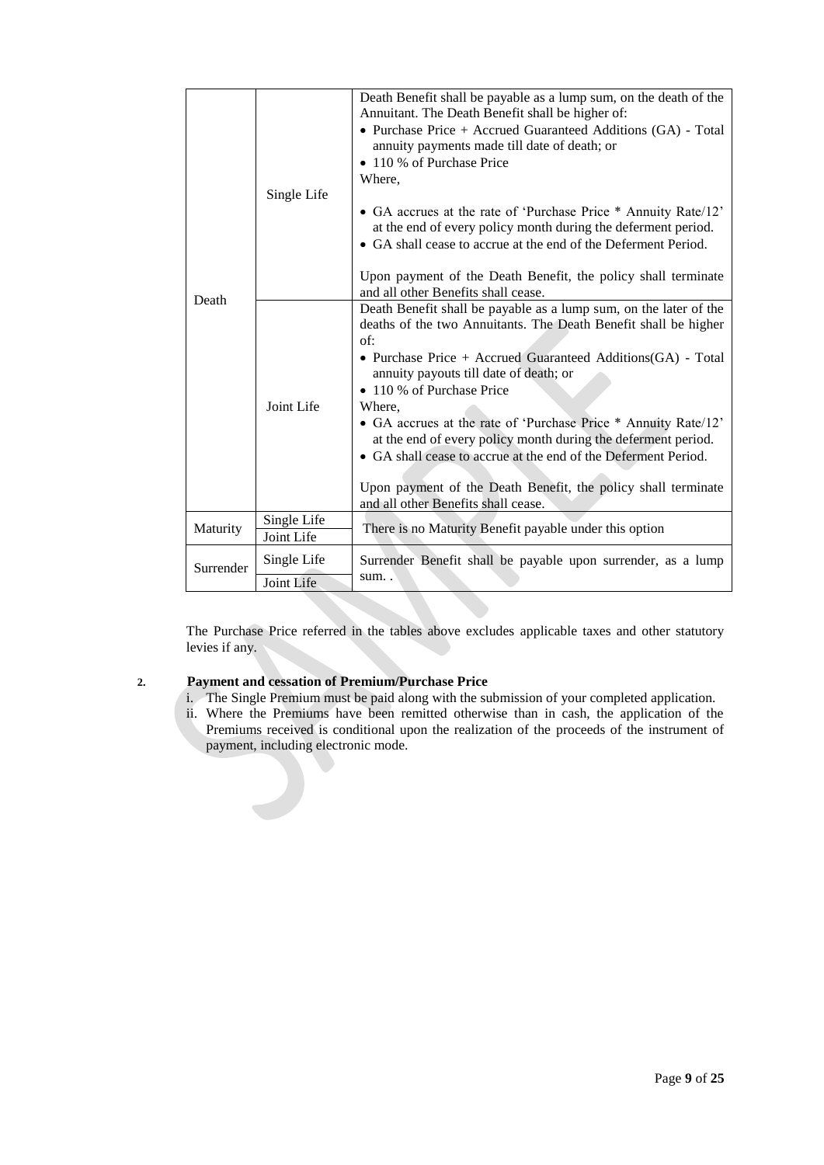|                                       | Single Life               | Death Benefit shall be payable as a lump sum, on the death of the<br>Annuitant. The Death Benefit shall be higher of:<br>• Purchase Price + Accrued Guaranteed Additions (GA) - Total<br>annuity payments made till date of death; or<br>• 110 % of Purchase Price<br>Where.<br>• GA accrues at the rate of 'Purchase Price * Annuity Rate/12'<br>at the end of every policy month during the deferment period.<br>• GA shall cease to accrue at the end of the Deferment Period.<br>Upon payment of the Death Benefit, the policy shall terminate<br>and all other Benefits shall cease.                   |  |  |
|---------------------------------------|---------------------------|-------------------------------------------------------------------------------------------------------------------------------------------------------------------------------------------------------------------------------------------------------------------------------------------------------------------------------------------------------------------------------------------------------------------------------------------------------------------------------------------------------------------------------------------------------------------------------------------------------------|--|--|
| Death                                 | Joint Life                | Death Benefit shall be payable as a lump sum, on the later of the<br>deaths of the two Annuitants. The Death Benefit shall be higher<br>of:<br>• Purchase Price + Accrued Guaranteed Additions $(GA)$ - Total<br>annuity payouts till date of death; or<br>• 110 % of Purchase Price<br>Where.<br>• GA accrues at the rate of 'Purchase Price * Annuity Rate/12'<br>at the end of every policy month during the deferment period.<br>• GA shall cease to accrue at the end of the Deferment Period.<br>Upon payment of the Death Benefit, the policy shall terminate<br>and all other Benefits shall cease. |  |  |
| Single Life<br>Maturity<br>Joint Life |                           | There is no Maturity Benefit payable under this option                                                                                                                                                                                                                                                                                                                                                                                                                                                                                                                                                      |  |  |
| Surrender                             | Single Life<br>Joint Life | Surrender Benefit shall be payable upon surrender, as a lump<br>sum                                                                                                                                                                                                                                                                                                                                                                                                                                                                                                                                         |  |  |

The Purchase Price referred in the tables above excludes applicable taxes and other statutory levies if any.

# **2. Payment and cessation of Premium/Purchase Price**

- i. The Single Premium must be paid along with the submission of your completed application.
- ii. Where the Premiums have been remitted otherwise than in cash, the application of the Premiums received is conditional upon the realization of the proceeds of the instrument of payment, including electronic mode.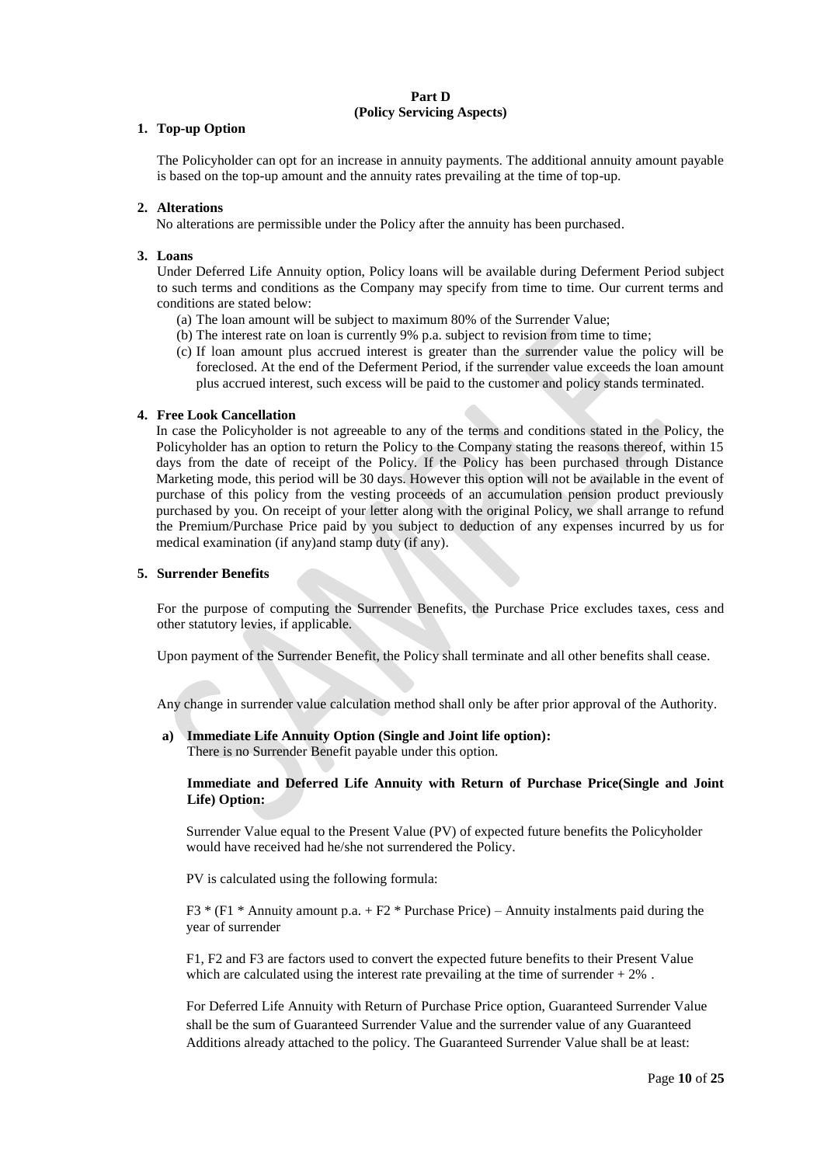# **Part D (Policy Servicing Aspects)**

## **1. Top-up Option**

The Policyholder can opt for an increase in annuity payments. The additional annuity amount payable is based on the top-up amount and the annuity rates prevailing at the time of top-up.

### **2. Alterations**

No alterations are permissible under the Policy after the annuity has been purchased.

### **3. Loans**

Under Deferred Life Annuity option, Policy loans will be available during Deferment Period subject to such terms and conditions as the Company may specify from time to time. Our current terms and conditions are stated below:

- (a) The loan amount will be subject to maximum 80% of the Surrender Value;
- (b) The interest rate on loan is currently 9% p.a. subject to revision from time to time;
- (c) If loan amount plus accrued interest is greater than the surrender value the policy will be foreclosed. At the end of the Deferment Period, if the surrender value exceeds the loan amount plus accrued interest, such excess will be paid to the customer and policy stands terminated.

### **4. Free Look Cancellation**

In case the Policyholder is not agreeable to any of the terms and conditions stated in the Policy, the Policyholder has an option to return the Policy to the Company stating the reasons thereof, within 15 days from the date of receipt of the Policy. If the Policy has been purchased through Distance Marketing mode, this period will be 30 days. However this option will not be available in the event of purchase of this policy from the vesting proceeds of an accumulation pension product previously purchased by you. On receipt of your letter along with the original Policy, we shall arrange to refund the Premium/Purchase Price paid by you subject to deduction of any expenses incurred by us for medical examination (if any)and stamp duty (if any).

### **5. Surrender Benefits**

For the purpose of computing the Surrender Benefits, the Purchase Price excludes taxes, cess and other statutory levies, if applicable.

Upon payment of the Surrender Benefit, the Policy shall terminate and all other benefits shall cease.

Any change in surrender value calculation method shall only be after prior approval of the Authority.

**a) Immediate Life Annuity Option (Single and Joint life option):**

There is no Surrender Benefit payable under this option.

### **Immediate and Deferred Life Annuity with Return of Purchase Price(Single and Joint Life) Option:**

Surrender Value equal to the Present Value (PV) of expected future benefits the Policyholder would have received had he/she not surrendered the Policy.

PV is calculated using the following formula:

F3  $*$  (F1  $*$  Annuity amount p.a. + F2  $*$  Purchase Price) – Annuity instalments paid during the year of surrender

F1, F2 and F3 are factors used to convert the expected future benefits to their Present Value which are calculated using the interest rate prevailing at the time of surrender  $+2\%$ .

For Deferred Life Annuity with Return of Purchase Price option, Guaranteed Surrender Value shall be the sum of Guaranteed Surrender Value and the surrender value of any Guaranteed Additions already attached to the policy. The Guaranteed Surrender Value shall be at least: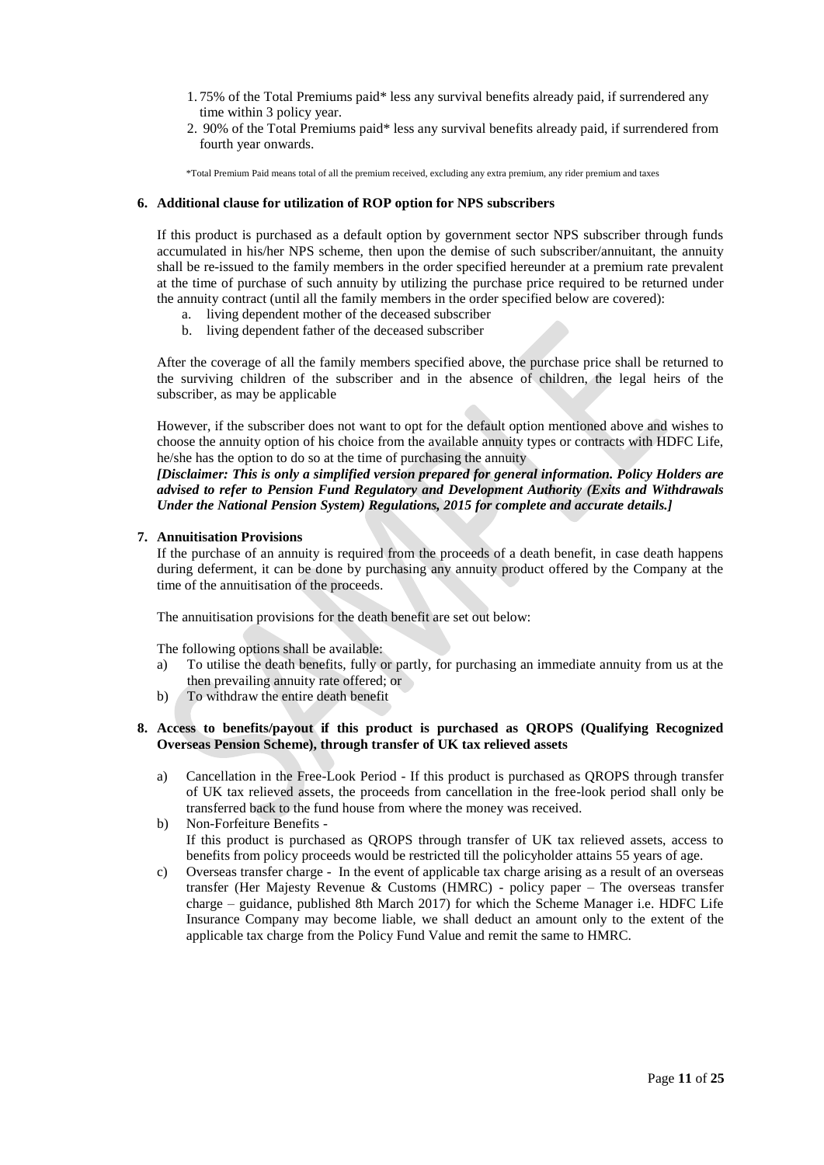- 1. 75% of the Total Premiums paid\* less any survival benefits already paid, if surrendered any time within 3 policy year.
- 2. 90% of the Total Premiums paid\* less any survival benefits already paid, if surrendered from fourth year onwards.

\*Total Premium Paid means total of all the premium received, excluding any extra premium, any rider premium and taxes

## **6. Additional clause for utilization of ROP option for NPS subscribers**

If this product is purchased as a default option by government sector NPS subscriber through funds accumulated in his/her NPS scheme, then upon the demise of such subscriber/annuitant, the annuity shall be re-issued to the family members in the order specified hereunder at a premium rate prevalent at the time of purchase of such annuity by utilizing the purchase price required to be returned under the annuity contract (until all the family members in the order specified below are covered):

- a. living dependent mother of the deceased subscriber
- b. living dependent father of the deceased subscriber

After the coverage of all the family members specified above, the purchase price shall be returned to the surviving children of the subscriber and in the absence of children, the legal heirs of the subscriber, as may be applicable

However, if the subscriber does not want to opt for the default option mentioned above and wishes to choose the annuity option of his choice from the available annuity types or contracts with HDFC Life, he/she has the option to do so at the time of purchasing the annuity

*[Disclaimer: This is only a simplified version prepared for general information. Policy Holders are advised to refer to Pension Fund Regulatory and Development Authority (Exits and Withdrawals Under the National Pension System) Regulations, 2015 for complete and accurate details.]*

## **7. Annuitisation Provisions**

If the purchase of an annuity is required from the proceeds of a death benefit, in case death happens during deferment, it can be done by purchasing any annuity product offered by the Company at the time of the annuitisation of the proceeds.

The annuitisation provisions for the death benefit are set out below:

The following options shall be available:

- a) To utilise the death benefits, fully or partly, for purchasing an immediate annuity from us at the then prevailing annuity rate offered; or
- b) To withdraw the entire death benefit

## **8. Access to benefits/payout if this product is purchased as QROPS (Qualifying Recognized Overseas Pension Scheme), through transfer of UK tax relieved assets**

- a) Cancellation in the Free-Look Period If this product is purchased as QROPS through transfer of UK tax relieved assets, the proceeds from cancellation in the free-look period shall only be transferred back to the fund house from where the money was received.
- b) Non-Forfeiture Benefits If this product is purchased as QROPS through transfer of UK tax relieved assets, access to benefits from policy proceeds would be restricted till the policyholder attains 55 years of age.
- c) Overseas transfer charge In the event of applicable tax charge arising as a result of an overseas transfer (Her Majesty Revenue & Customs (HMRC) - policy paper – The overseas transfer charge – guidance, published 8th March 2017) for which the Scheme Manager i.e. HDFC Life Insurance Company may become liable, we shall deduct an amount only to the extent of the applicable tax charge from the Policy Fund Value and remit the same to HMRC.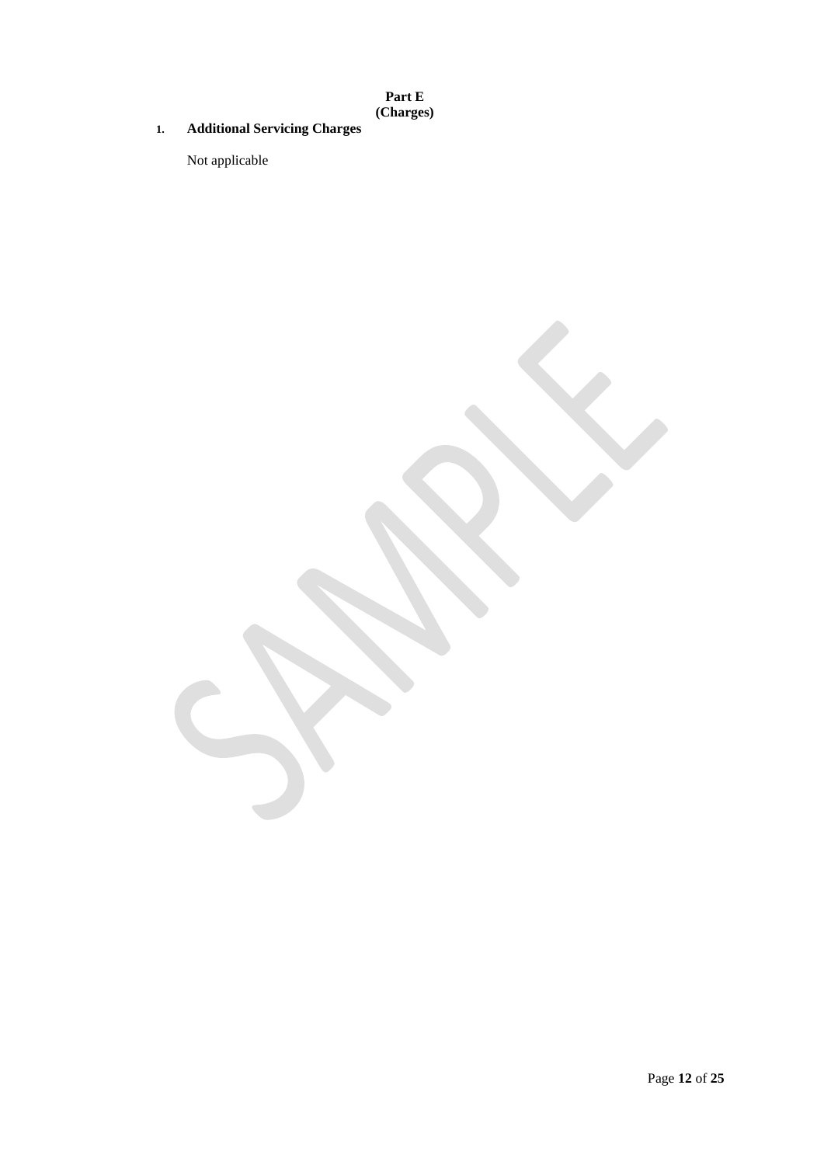**Part E (Charges)**

# **1. Additional Servicing Charges**

Not applicable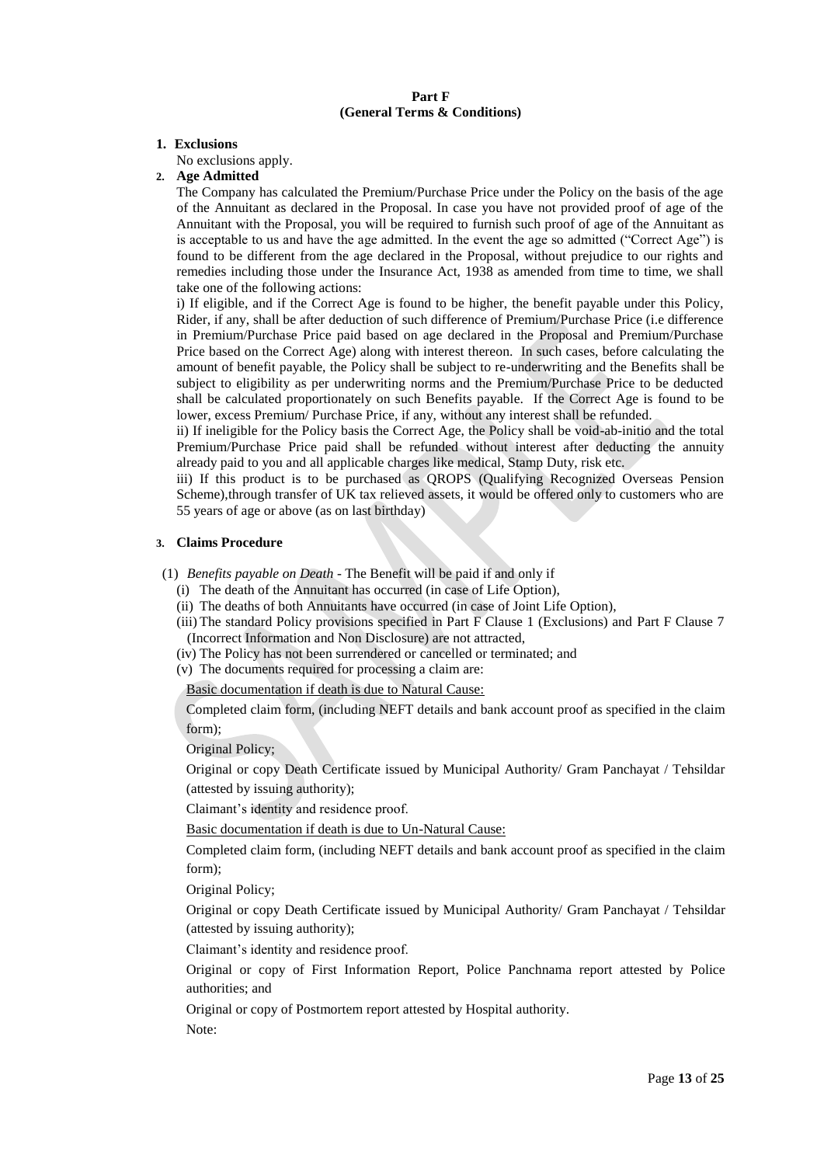## **Part F (General Terms & Conditions)**

#### **1. Exclusions**

No exclusions apply.

# **2. Age Admitted**

The Company has calculated the Premium/Purchase Price under the Policy on the basis of the age of the Annuitant as declared in the Proposal. In case you have not provided proof of age of the Annuitant with the Proposal, you will be required to furnish such proof of age of the Annuitant as is acceptable to us and have the age admitted. In the event the age so admitted ("Correct Age") is found to be different from the age declared in the Proposal, without prejudice to our rights and remedies including those under the Insurance Act, 1938 as amended from time to time, we shall take one of the following actions:

i) If eligible, and if the Correct Age is found to be higher, the benefit payable under this Policy, Rider, if any, shall be after deduction of such difference of Premium/Purchase Price (i.e difference in Premium/Purchase Price paid based on age declared in the Proposal and Premium/Purchase Price based on the Correct Age) along with interest thereon. In such cases, before calculating the amount of benefit payable, the Policy shall be subject to re-underwriting and the Benefits shall be subject to eligibility as per underwriting norms and the Premium/Purchase Price to be deducted shall be calculated proportionately on such Benefits payable. If the Correct Age is found to be lower, excess Premium/ Purchase Price, if any, without any interest shall be refunded.

ii) If ineligible for the Policy basis the Correct Age, the Policy shall be void-ab-initio and the total Premium/Purchase Price paid shall be refunded without interest after deducting the annuity already paid to you and all applicable charges like medical, Stamp Duty, risk etc.

iii) If this product is to be purchased as QROPS (Qualifying Recognized Overseas Pension Scheme),through transfer of UK tax relieved assets, it would be offered only to customers who are 55 years of age or above (as on last birthday)

### **3. Claims Procedure**

(1) *Benefits payable on Death -* The Benefit will be paid if and only if

- (i) The death of the Annuitant has occurred (in case of Life Option),
- (ii) The deaths of both Annuitants have occurred (in case of Joint Life Option),
- (iii) The standard Policy provisions specified in Part F Clause 1 (Exclusions) and Part F Clause 7 (Incorrect Information and Non Disclosure) are not attracted,
- (iv) The Policy has not been surrendered or cancelled or terminated; and
- (v) The documents required for processing a claim are:

Basic documentation if death is due to Natural Cause:

Completed claim form, (including NEFT details and bank account proof as specified in the claim form);

Original Policy;

Original or copy Death Certificate issued by Municipal Authority/ Gram Panchayat / Tehsildar (attested by issuing authority);

Claimant's identity and residence proof.

Basic documentation if death is due to Un-Natural Cause:

Completed claim form, (including NEFT details and bank account proof as specified in the claim form);

Original Policy;

Original or copy Death Certificate issued by Municipal Authority/ Gram Panchayat / Tehsildar (attested by issuing authority);

Claimant's identity and residence proof.

Original or copy of First Information Report, Police Panchnama report attested by Police authorities; and

Original or copy of Postmortem report attested by Hospital authority.

Note: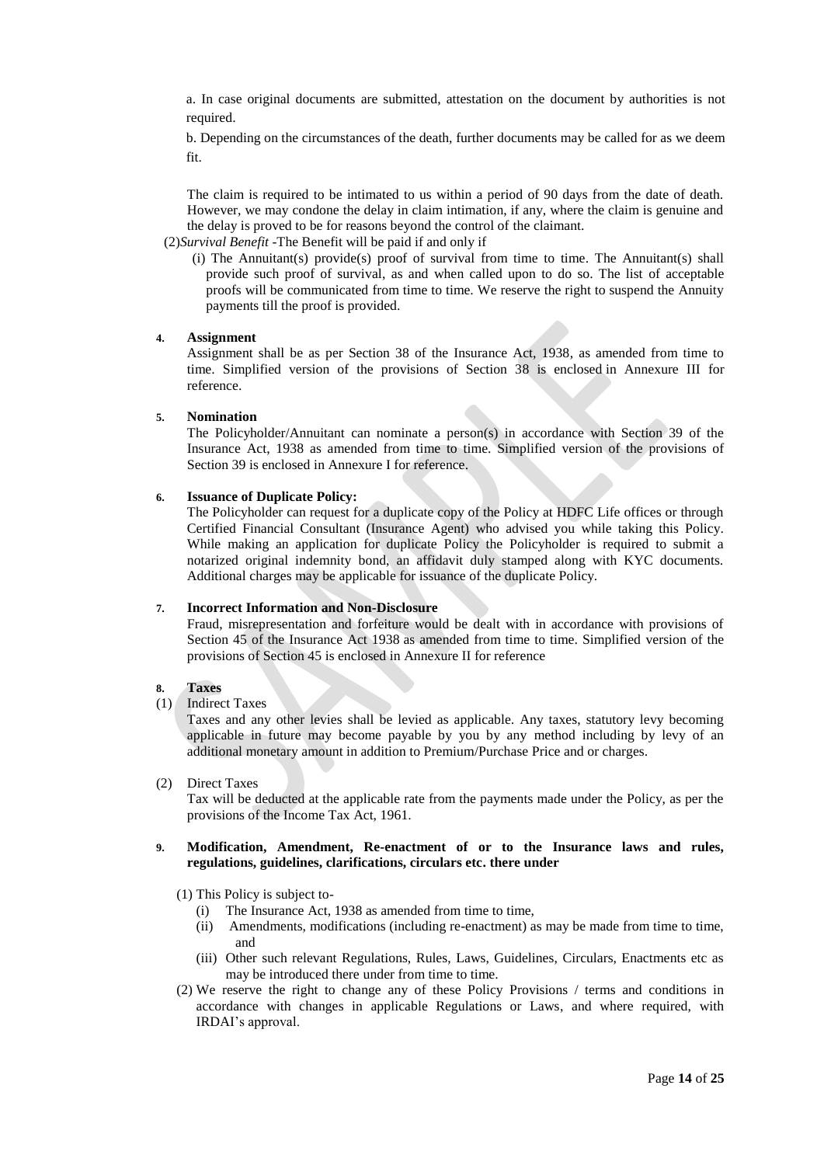a. In case original documents are submitted, attestation on the document by authorities is not required.

b. Depending on the circumstances of the death, further documents may be called for as we deem fit.

The claim is required to be intimated to us within a period of 90 days from the date of death. However, we may condone the delay in claim intimation, if any, where the claim is genuine and the delay is proved to be for reasons beyond the control of the claimant.

(2)*Survival Benefit -*The Benefit will be paid if and only if

 (i) The Annuitant(s) provide(s) proof of survival from time to time. The Annuitant(s) shall provide such proof of survival, as and when called upon to do so. The list of acceptable proofs will be communicated from time to time. We reserve the right to suspend the Annuity payments till the proof is provided.

#### **4. Assignment**

Assignment shall be as per Section 38 of the Insurance Act, 1938, as amended from time to time. Simplified version of the provisions of Section 38 is enclosed in Annexure III for reference.

## **5. Nomination**

The Policyholder/Annuitant can nominate a person(s) in accordance with Section 39 of the Insurance Act, 1938 as amended from time to time. Simplified version of the provisions of Section 39 is enclosed in Annexure I for reference.

#### **6. Issuance of Duplicate Policy:**

The Policyholder can request for a duplicate copy of the Policy at HDFC Life offices or through Certified Financial Consultant (Insurance Agent) who advised you while taking this Policy. While making an application for duplicate Policy the Policyholder is required to submit a notarized original indemnity bond, an affidavit duly stamped along with KYC documents. Additional charges may be applicable for issuance of the duplicate Policy.

#### **7. Incorrect Information and Non-Disclosure**

Fraud, misrepresentation and forfeiture would be dealt with in accordance with provisions of Section 45 of the Insurance Act 1938 as amended from time to time. Simplified version of the provisions of Section 45 is enclosed in Annexure II for reference

#### **8. Taxes**

(1) Indirect Taxes

Taxes and any other levies shall be levied as applicable. Any taxes, statutory levy becoming applicable in future may become payable by you by any method including by levy of an additional monetary amount in addition to Premium/Purchase Price and or charges.

(2) Direct Taxes

Tax will be deducted at the applicable rate from the payments made under the Policy, as per the provisions of the Income Tax Act, 1961.

## **9. Modification, Amendment, Re-enactment of or to the Insurance laws and rules, regulations, guidelines, clarifications, circulars etc. there under**

- (1) This Policy is subject to-
	- (i) The Insurance Act, 1938 as amended from time to time,
	- (ii) Amendments, modifications (including re-enactment) as may be made from time to time, and
	- (iii) Other such relevant Regulations, Rules, Laws, Guidelines, Circulars, Enactments etc as may be introduced there under from time to time.
- (2) We reserve the right to change any of these Policy Provisions / terms and conditions in accordance with changes in applicable Regulations or Laws, and where required, with IRDAI's approval.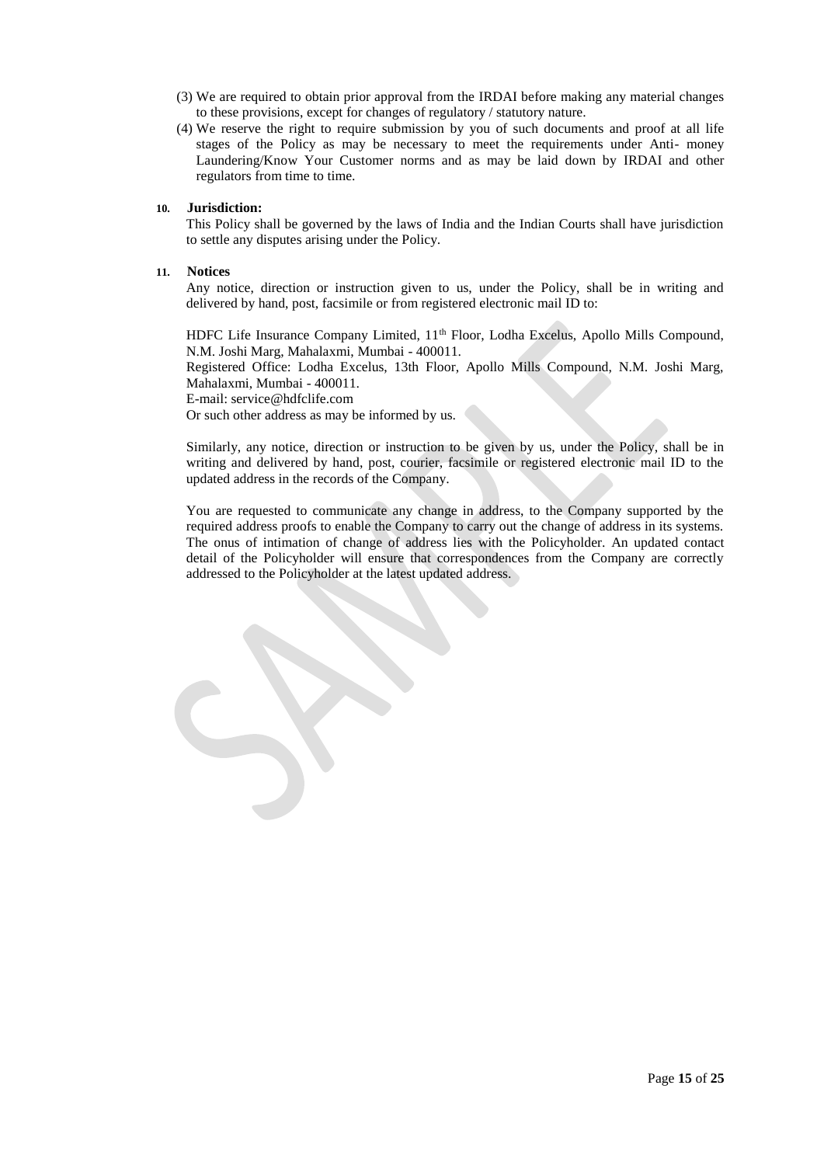- (3) We are required to obtain prior approval from the IRDAI before making any material changes to these provisions, except for changes of regulatory / statutory nature.
- (4) We reserve the right to require submission by you of such documents and proof at all life stages of the Policy as may be necessary to meet the requirements under Anti- money Laundering/Know Your Customer norms and as may be laid down by IRDAI and other regulators from time to time.

#### **10. Jurisdiction:**

This Policy shall be governed by the laws of India and the Indian Courts shall have jurisdiction to settle any disputes arising under the Policy.

#### **11. Notices**

Any notice, direction or instruction given to us, under the Policy, shall be in writing and delivered by hand, post, facsimile or from registered electronic mail ID to:

HDFC Life Insurance Company Limited, 11th Floor, Lodha Excelus, Apollo Mills Compound, N.M. Joshi Marg, Mahalaxmi, Mumbai - 400011.

Registered Office: Lodha Excelus, 13th Floor, Apollo Mills Compound, N.M. Joshi Marg, Mahalaxmi, Mumbai - 400011.

E-mail: service@hdfclife.com

Or such other address as may be informed by us.

Similarly, any notice, direction or instruction to be given by us, under the Policy, shall be in writing and delivered by hand, post, courier, facsimile or registered electronic mail ID to the updated address in the records of the Company.

You are requested to communicate any change in address, to the Company supported by the required address proofs to enable the Company to carry out the change of address in its systems. The onus of intimation of change of address lies with the Policyholder. An updated contact detail of the Policyholder will ensure that correspondences from the Company are correctly addressed to the Policyholder at the latest updated address.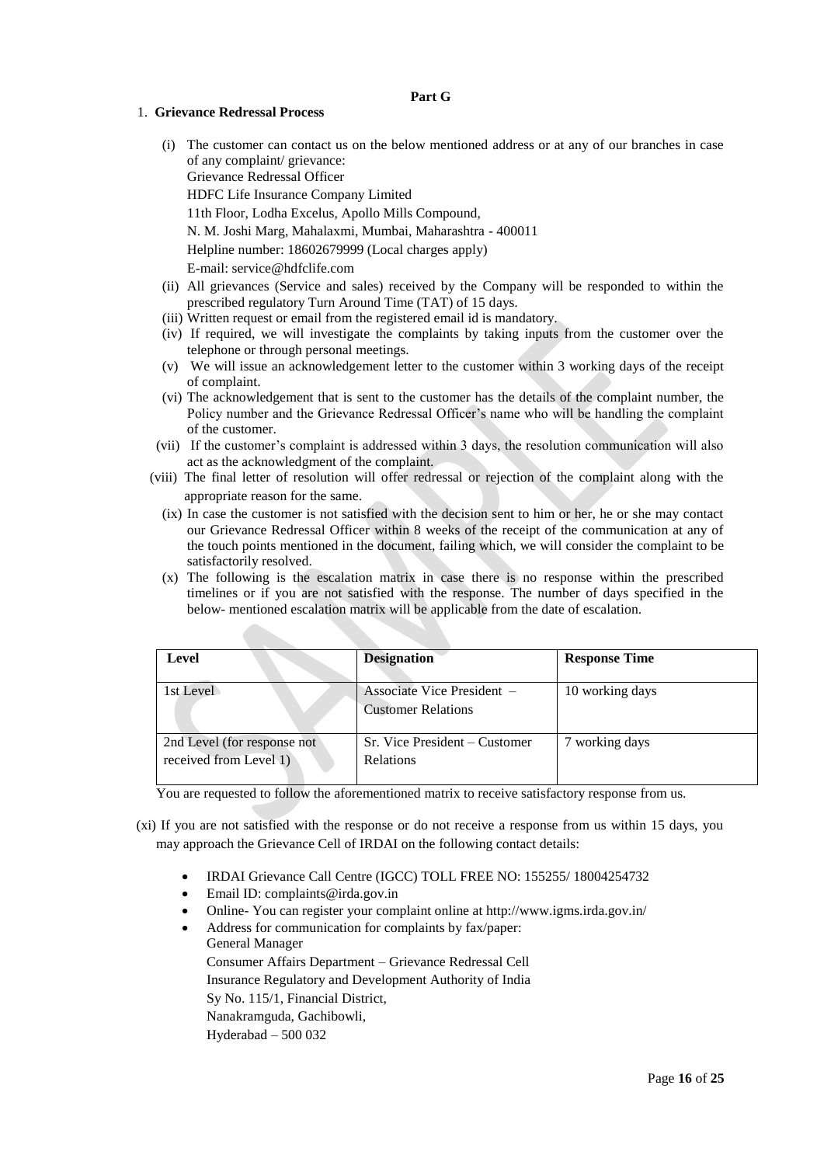#### **Part G**

#### 1. **Grievance Redressal Process**

- (i) The customer can contact us on the below mentioned address or at any of our branches in case of any complaint/ grievance: Grievance Redressal Officer HDFC Life Insurance Company Limited 11th Floor, Lodha Excelus, Apollo Mills Compound, N. M. Joshi Marg, Mahalaxmi, Mumbai, Maharashtra - 400011 Helpline number: 18602679999 (Local charges apply) E-mail[: service@hdfclife.com](mailto:service@hdfclife.com)
- (ii) All grievances (Service and sales) received by the Company will be responded to within the prescribed regulatory Turn Around Time (TAT) of 15 days.
- (iii) Written request or email from the registered email id is mandatory.
- (iv) If required, we will investigate the complaints by taking inputs from the customer over the telephone or through personal meetings.
- (v) We will issue an acknowledgement letter to the customer within 3 working days of the receipt of complaint.
- (vi) The acknowledgement that is sent to the customer has the details of the complaint number, the Policy number and the Grievance Redressal Officer's name who will be handling the complaint of the customer.
- (vii) If the customer's complaint is addressed within 3 days, the resolution communication will also act as the acknowledgment of the complaint.
- (viii) The final letter of resolution will offer redressal or rejection of the complaint along with the appropriate reason for the same.
	- (ix) In case the customer is not satisfied with the decision sent to him or her, he or she may contact our Grievance Redressal Officer within 8 weeks of the receipt of the communication at any of the touch points mentioned in the document, failing which, we will consider the complaint to be satisfactorily resolved.
	- (x) The following is the escalation matrix in case there is no response within the prescribed timelines or if you are not satisfied with the response. The number of days specified in the below- mentioned escalation matrix will be applicable from the date of escalation.

| Level                                                 | <b>Designation</b>                                      | <b>Response Time</b> |
|-------------------------------------------------------|---------------------------------------------------------|----------------------|
| 1st Level                                             | Associate Vice President –<br><b>Customer Relations</b> | 10 working days      |
| 2nd Level (for response not<br>received from Level 1) | Sr. Vice President – Customer<br><b>Relations</b>       | 7 working days       |

You are requested to follow the aforementioned matrix to receive satisfactory response from us.

- (xi) If you are not satisfied with the response or do not receive a response from us within 15 days, you may approach the Grievance Cell of IRDAI on the following contact details:
	- IRDAI Grievance Call Centre (IGCC) TOLL FREE NO: 155255/ 18004254732
	- Email ID: complaints@irda.gov.in
	- Online- You can register your complaint online at http://www.igms.irda.gov.in/
	- Address for communication for complaints by fax/paper: General Manager Consumer Affairs Department – Grievance Redressal Cell Insurance Regulatory and Development Authority of India Sy No. 115/1, Financial District,

Nanakramguda, Gachibowli,

Hyderabad – 500 032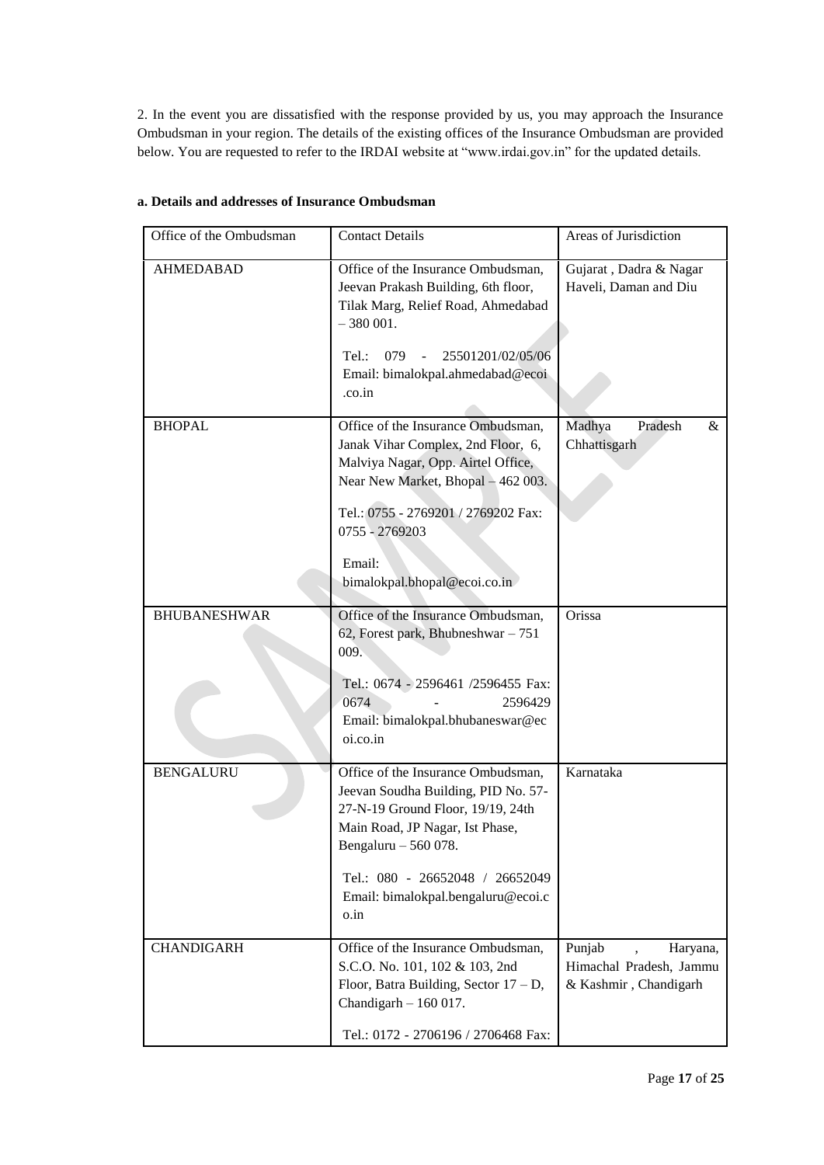2. In the event you are dissatisfied with the response provided by us, you may approach the Insurance Ombudsman in your region. The details of the existing offices of the Insurance Ombudsman are provided below. You are requested to refer to the IRDAI website at "www.irdai.gov.in" for the updated details.

| Office of the Ombudsman | <b>Contact Details</b>                                                                                                                                                                                                                                     | Areas of Jurisdiction                                                  |
|-------------------------|------------------------------------------------------------------------------------------------------------------------------------------------------------------------------------------------------------------------------------------------------------|------------------------------------------------------------------------|
| <b>AHMEDABAD</b>        | Office of the Insurance Ombudsman,<br>Jeevan Prakash Building, 6th floor,<br>Tilak Marg, Relief Road, Ahmedabad<br>$-380001.$<br>079<br>25501201/02/05/06<br>Tel:<br>Email: bimalokpal.ahmedabad@ecoi<br>.co.in                                            | Gujarat, Dadra & Nagar<br>Haveli, Daman and Diu                        |
| <b>BHOPAL</b>           | Office of the Insurance Ombudsman,<br>Janak Vihar Complex, 2nd Floor, 6,<br>Malviya Nagar, Opp. Airtel Office,<br>Near New Market, Bhopal - 462 003.<br>Tel.: 0755 - 2769201 / 2769202 Fax:<br>0755 - 2769203<br>Email:<br>bimalokpal.bhopal@ecoi.co.in    | Madhya<br>Pradesh<br>$\&$<br>Chhattisgarh                              |
| <b>BHUBANESHWAR</b>     | Office of the Insurance Ombudsman,<br>62, Forest park, Bhubneshwar - 751<br>009.<br>Tel.: 0674 - 2596461 /2596455 Fax:<br>0674<br>2596429<br>Email: bimalokpal.bhubaneswar@ec<br>oi.co.in                                                                  | Orissa                                                                 |
| <b>BENGALURU</b>        | Office of the Insurance Ombudsman,<br>Jeevan Soudha Building, PID No. 57-<br>27-N-19 Ground Floor, 19/19, 24th<br>Main Road, JP Nagar, Ist Phase,<br>Bengaluru - 560 078.<br>Tel.: 080 - 26652048 / 26652049<br>Email: bimalokpal.bengaluru@ecoi.c<br>o.in | Karnataka                                                              |
| <b>CHANDIGARH</b>       | Office of the Insurance Ombudsman,<br>S.C.O. No. 101, 102 & 103, 2nd<br>Floor, Batra Building, Sector $17 - D$ ,<br>Chandigarh $-160017$ .<br>Tel.: 0172 - 2706196 / 2706468 Fax:                                                                          | Punjab<br>Haryana,<br>Himachal Pradesh, Jammu<br>& Kashmir, Chandigarh |

## **a. Details and addresses of Insurance Ombudsman**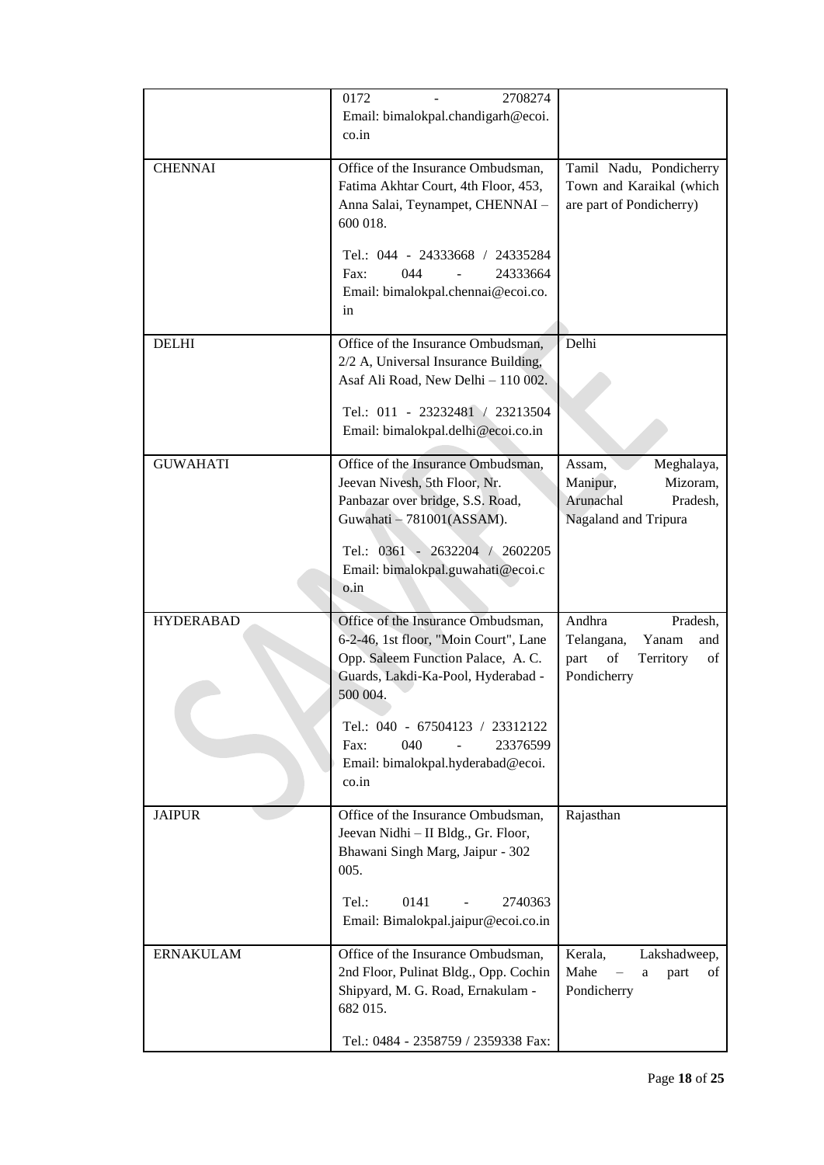|                  | 0172<br>2708274<br>Email: bimalokpal.chandigarh@ecoi.<br>$\cos$ .in                                                                                                                                                                                                                                   |                                                                                                  |
|------------------|-------------------------------------------------------------------------------------------------------------------------------------------------------------------------------------------------------------------------------------------------------------------------------------------------------|--------------------------------------------------------------------------------------------------|
| <b>CHENNAI</b>   | Office of the Insurance Ombudsman,<br>Fatima Akhtar Court, 4th Floor, 453,<br>Anna Salai, Teynampet, CHENNAI -<br>600 018.<br>Tel.: 044 - 24333668 / 24335284<br>044<br>24333664<br>Fax:<br>Email: bimalokpal.chennai@ecoi.co.<br>in                                                                  | Tamil Nadu, Pondicherry<br>Town and Karaikal (which<br>are part of Pondicherry)                  |
| <b>DELHI</b>     | Office of the Insurance Ombudsman,<br>2/2 A, Universal Insurance Building,<br>Asaf Ali Road, New Delhi - 110 002.<br>Tel.: 011 - 23232481 / 23213504<br>Email: bimalokpal.delhi@ecoi.co.in                                                                                                            | Delhi                                                                                            |
| <b>GUWAHATI</b>  | Office of the Insurance Ombudsman,<br>Jeevan Nivesh, 5th Floor, Nr.<br>Panbazar over bridge, S.S. Road,<br>Guwahati - 781001(ASSAM).<br>Tel.: 0361 - 2632204 / 2602205<br>Email: bimalokpal.guwahati@ecoi.c<br>o.in                                                                                   | Assam,<br>Meghalaya,<br>Manipur,<br>Mizoram,<br>Arunachal<br>Pradesh,<br>Nagaland and Tripura    |
| <b>HYDERABAD</b> | Office of the Insurance Ombudsman,<br>6-2-46, 1st floor, "Moin Court", Lane<br>Opp. Saleem Function Palace, A.C.<br>Guards, Lakdi-Ka-Pool, Hyderabad -<br>500 004.<br>Tel.: 040 - 67504123 / 23312122<br>040<br>23376599<br>Fax:<br>$\overline{a}$<br>Email: bimalokpal.hyderabad@ecoi.<br>$\cos$ .in | Andhra<br>Pradesh,<br>Yanam<br>Telangana,<br>and<br>part<br>of<br>Territory<br>of<br>Pondicherry |
| <b>JAIPUR</b>    | Office of the Insurance Ombudsman,<br>Jeevan Nidhi - II Bldg., Gr. Floor,<br>Bhawani Singh Marg, Jaipur - 302<br>005.<br>0141<br>2740363<br>Tel.:<br>$\blacksquare$<br>Email: Bimalokpal.jaipur@ecoi.co.in                                                                                            | Rajasthan                                                                                        |
| <b>ERNAKULAM</b> | Office of the Insurance Ombudsman,<br>2nd Floor, Pulinat Bldg., Opp. Cochin<br>Shipyard, M. G. Road, Ernakulam -<br>682 015.<br>Tel.: 0484 - 2358759 / 2359338 Fax:                                                                                                                                   | Kerala,<br>Lakshadweep,<br>Mahe<br>part<br>of<br>a<br>Pondicherry                                |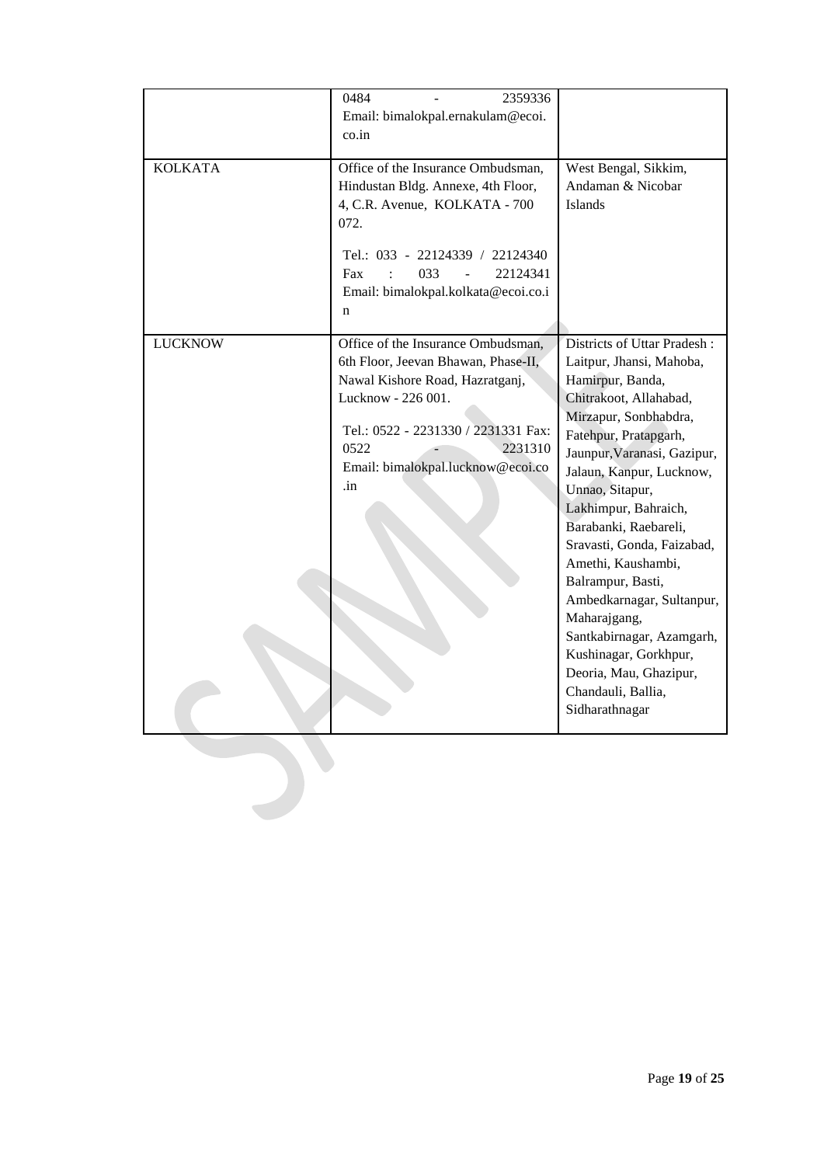|                | 0484<br>2359336                                                          |                                           |
|----------------|--------------------------------------------------------------------------|-------------------------------------------|
|                |                                                                          |                                           |
|                | Email: bimalokpal.ernakulam@ecoi.                                        |                                           |
|                | $\cos$ .in                                                               |                                           |
| <b>KOLKATA</b> | Office of the Insurance Ombudsman,<br>Hindustan Bldg. Annexe, 4th Floor, | West Bengal, Sikkim,<br>Andaman & Nicobar |
|                | 4, C.R. Avenue, KOLKATA - 700<br>072.                                    | Islands                                   |
|                | Tel.: 033 - 22124339 / 22124340<br>033<br>22124341<br>Fax                |                                           |
|                | Email: bimalokpal.kolkata@ecoi.co.i<br>n                                 |                                           |
| <b>LUCKNOW</b> | Office of the Insurance Ombudsman,                                       | Districts of Uttar Pradesh:               |
|                | 6th Floor, Jeevan Bhawan, Phase-II,                                      | Laitpur, Jhansi, Mahoba,                  |
|                | Nawal Kishore Road, Hazratganj,                                          | Hamirpur, Banda,                          |
|                | Lucknow - 226 001.                                                       |                                           |
|                |                                                                          | Chitrakoot, Allahabad,                    |
|                | Tel.: 0522 - 2231330 / 2231331 Fax:                                      | Mirzapur, Sonbhabdra,                     |
|                | 0522<br>2231310                                                          | Fatehpur, Pratapgarh,                     |
|                |                                                                          | Jaunpur, Varanasi, Gazipur,               |
|                | Email: bimalokpal.lucknow@ecoi.co                                        | Jalaun, Kanpur, Lucknow,                  |
|                | .in                                                                      | Unnao, Sitapur,                           |
|                |                                                                          | Lakhimpur, Bahraich,                      |
|                |                                                                          | Barabanki, Raebareli,                     |
|                |                                                                          | Sravasti, Gonda, Faizabad,                |
|                |                                                                          | Amethi, Kaushambi,                        |
|                |                                                                          | Balrampur, Basti,                         |
|                |                                                                          | Ambedkarnagar, Sultanpur,                 |
|                |                                                                          | Maharajgang,                              |
|                |                                                                          | Santkabirnagar, Azamgarh,                 |
|                |                                                                          | Kushinagar, Gorkhpur,                     |
|                |                                                                          | Deoria, Mau, Ghazipur,                    |
|                |                                                                          | Chandauli, Ballia,                        |
|                |                                                                          |                                           |
|                |                                                                          | Sidharathnagar                            |
|                |                                                                          |                                           |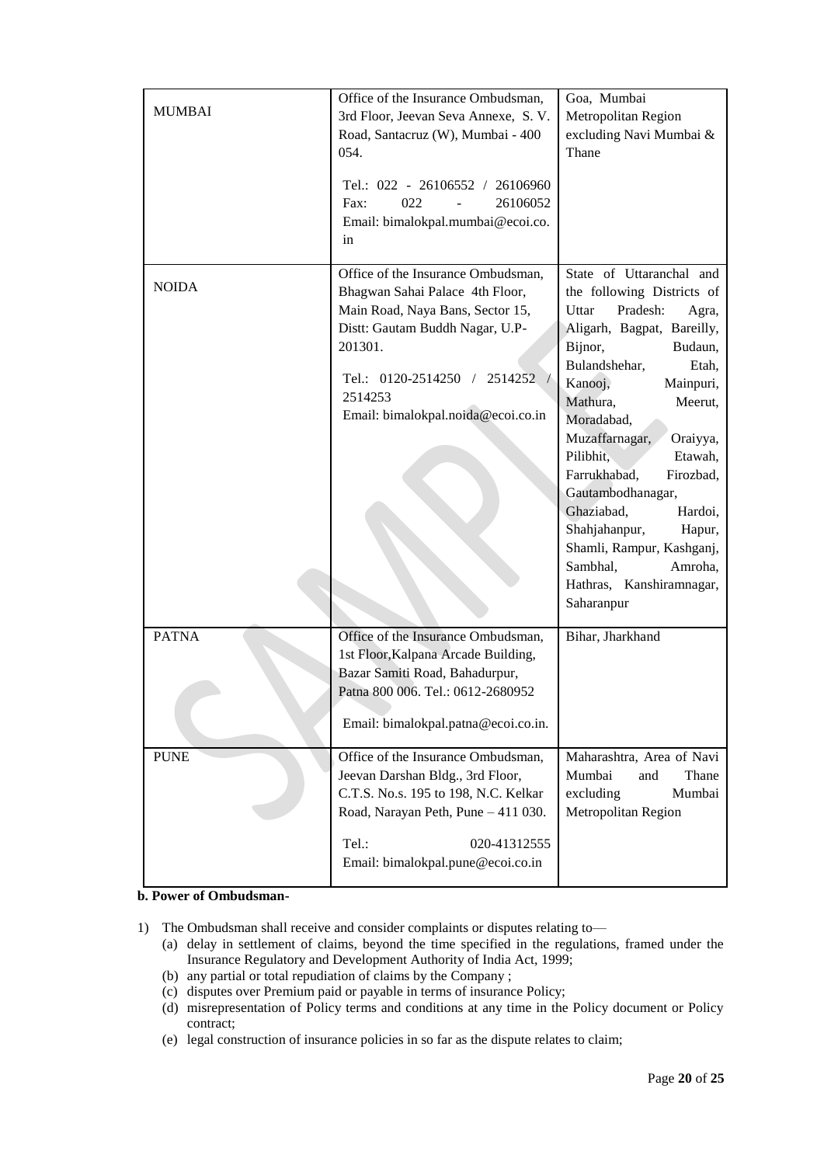| <b>MUMBAI</b>               | Office of the Insurance Ombudsman,<br>3rd Floor, Jeevan Seva Annexe, S.V.<br>Road, Santacruz (W), Mumbai - 400<br>054.<br>Tel.: 022 - 26106552 / 26106960<br>022<br>26106052<br>Fax:<br>Email: bimalokpal.mumbai@ecoi.co.<br>in                                                                                                                                                                                | Goa, Mumbai<br>Metropolitan Region<br>excluding Navi Mumbai &<br>Thane                                                                                                                                                                                                                                                                                                                                                                                                                    |
|-----------------------------|----------------------------------------------------------------------------------------------------------------------------------------------------------------------------------------------------------------------------------------------------------------------------------------------------------------------------------------------------------------------------------------------------------------|-------------------------------------------------------------------------------------------------------------------------------------------------------------------------------------------------------------------------------------------------------------------------------------------------------------------------------------------------------------------------------------------------------------------------------------------------------------------------------------------|
| <b>NOIDA</b>                | Office of the Insurance Ombudsman,<br>Bhagwan Sahai Palace 4th Floor,<br>Main Road, Naya Bans, Sector 15,<br>Distt: Gautam Buddh Nagar, U.P-<br>201301.<br>Tel.: 0120-2514250 / 2514252<br>2514253<br>Email: bimalokpal.noida@ecoi.co.in                                                                                                                                                                       | State of Uttaranchal and<br>the following Districts of<br>Uttar<br>Pradesh:<br>Agra,<br>Aligarh, Bagpat, Bareilly,<br>Bijnor,<br>Budaun,<br>Bulandshehar,<br>Etah,<br>Kanooj,<br>Mainpuri,<br>Mathura,<br>Meerut,<br>Moradabad,<br>Muzaffarnagar,<br>Oraiyya,<br>Pilibhit.<br>Etawah,<br>Farrukhabad,<br>Firozbad,<br>Gautambodhanagar,<br>Ghaziabad,<br>Hardoi,<br>Shahjahanpur,<br>Hapur,<br>Shamli, Rampur, Kashganj,<br>Sambhal,<br>Amroha,<br>Hathras, Kanshiramnagar,<br>Saharanpur |
| <b>PATNA</b><br><b>PUNE</b> | Office of the Insurance Ombudsman,<br>1st Floor, Kalpana Arcade Building,<br>Bazar Samiti Road, Bahadurpur,<br>Patna 800 006. Tel.: 0612-2680952<br>Email: bimalokpal.patna@ecoi.co.in.<br>Office of the Insurance Ombudsman,<br>Jeevan Darshan Bldg., 3rd Floor,<br>C.T.S. No.s. 195 to 198, N.C. Kelkar<br>Road, Narayan Peth, Pune - 411 030.<br>Tel.:<br>020-41312555<br>Email: bimalokpal.pune@ecoi.co.in | Bihar, Jharkhand<br>Maharashtra, Area of Navi<br>Mumbai<br>and<br>Thane<br>excluding<br>Mumbai<br>Metropolitan Region                                                                                                                                                                                                                                                                                                                                                                     |

**b. Power of Ombudsman-**

- 1) The Ombudsman shall receive and consider complaints or disputes relating to—
	- (a) delay in settlement of claims, beyond the time specified in the regulations, framed under the Insurance Regulatory and Development Authority of India Act, 1999;
	- (b) any partial or total repudiation of claims by the Company ;
	- (c) disputes over Premium paid or payable in terms of insurance Policy;
	- (d) misrepresentation of Policy terms and conditions at any time in the Policy document or Policy contract;
	- (e) legal construction of insurance policies in so far as the dispute relates to claim;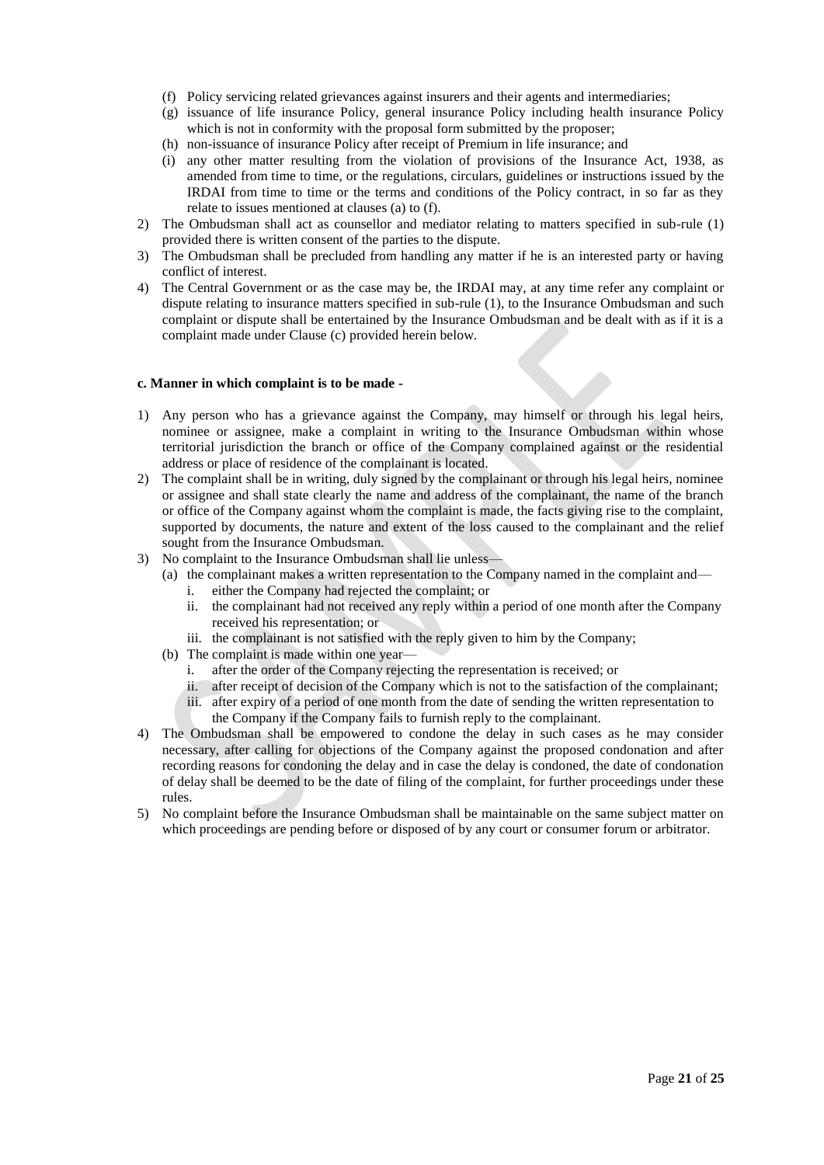- (f) Policy servicing related grievances against insurers and their agents and intermediaries;
- (g) issuance of life insurance Policy, general insurance Policy including health insurance Policy which is not in conformity with the proposal form submitted by the proposer;
- (h) non-issuance of insurance Policy after receipt of Premium in life insurance; and
- (i) any other matter resulting from the violation of provisions of the Insurance Act, 1938, as amended from time to time, or the regulations, circulars, guidelines or instructions issued by the IRDAI from time to time or the terms and conditions of the Policy contract, in so far as they relate to issues mentioned at clauses (a) to (f).
- 2) The Ombudsman shall act as counsellor and mediator relating to matters specified in sub-rule (1) provided there is written consent of the parties to the dispute.
- 3) The Ombudsman shall be precluded from handling any matter if he is an interested party or having conflict of interest.
- 4) The Central Government or as the case may be, the IRDAI may, at any time refer any complaint or dispute relating to insurance matters specified in sub-rule (1), to the Insurance Ombudsman and such complaint or dispute shall be entertained by the Insurance Ombudsman and be dealt with as if it is a complaint made under Clause (c) provided herein below.

#### **c. Manner in which complaint is to be made -**

- 1) Any person who has a grievance against the Company, may himself or through his legal heirs, nominee or assignee, make a complaint in writing to the Insurance Ombudsman within whose territorial jurisdiction the branch or office of the Company complained against or the residential address or place of residence of the complainant is located.
- 2) The complaint shall be in writing, duly signed by the complainant or through his legal heirs, nominee or assignee and shall state clearly the name and address of the complainant, the name of the branch or office of the Company against whom the complaint is made, the facts giving rise to the complaint, supported by documents, the nature and extent of the loss caused to the complainant and the relief sought from the Insurance Ombudsman.
- 3) No complaint to the Insurance Ombudsman shall lie unless—
	- (a) the complainant makes a written representation to the Company named in the complaint and
		- i. either the Company had rejected the complaint; or
		- ii. the complainant had not received any reply within a period of one month after the Company received his representation; or
		- iii. the complainant is not satisfied with the reply given to him by the Company;
	- (b) The complaint is made within one year
		- i. after the order of the Company rejecting the representation is received; or
		- ii. after receipt of decision of the Company which is not to the satisfaction of the complainant;
		- iii. after expiry of a period of one month from the date of sending the written representation to the Company if the Company fails to furnish reply to the complainant.
- 4) The Ombudsman shall be empowered to condone the delay in such cases as he may consider necessary, after calling for objections of the Company against the proposed condonation and after recording reasons for condoning the delay and in case the delay is condoned, the date of condonation of delay shall be deemed to be the date of filing of the complaint, for further proceedings under these rules.
- 5) No complaint before the Insurance Ombudsman shall be maintainable on the same subject matter on which proceedings are pending before or disposed of by any court or consumer forum or arbitrator.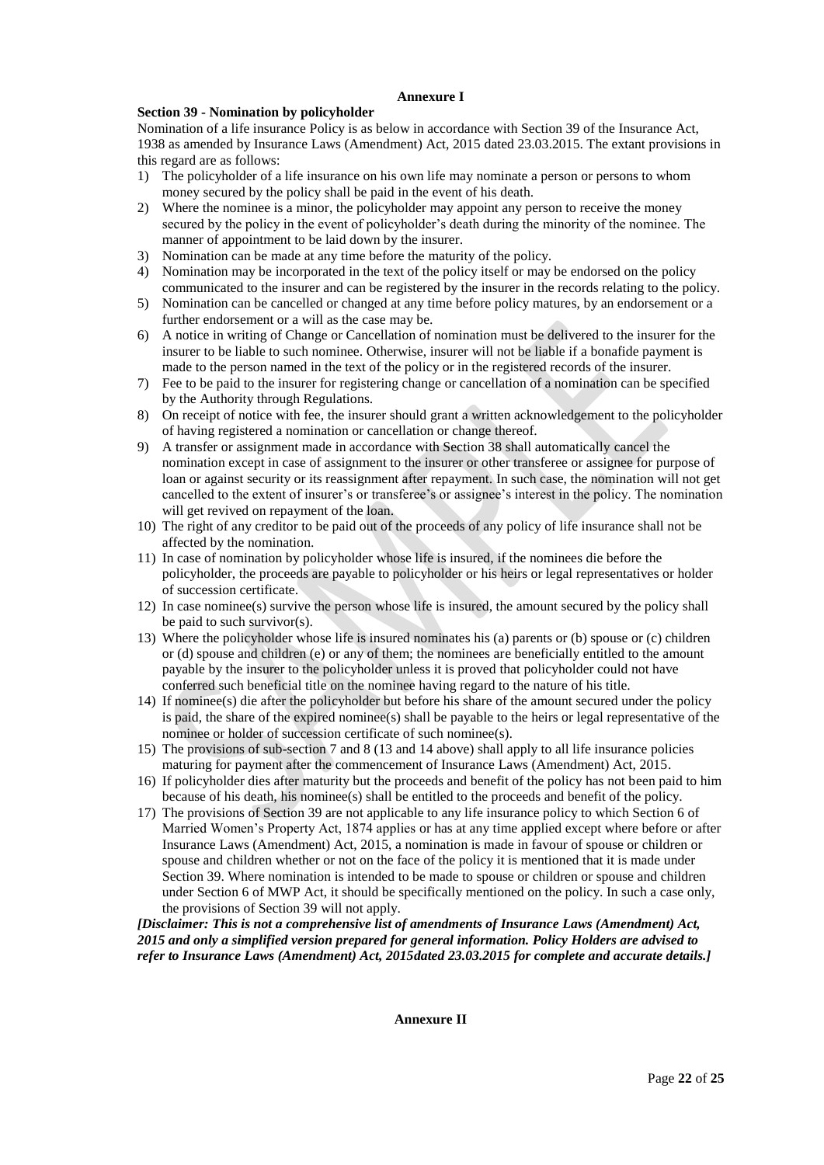## **Annexure I**

## **Section 39 - Nomination by policyholder**

Nomination of a life insurance Policy is as below in accordance with Section 39 of the Insurance Act, 1938 as amended by Insurance Laws (Amendment) Act, 2015 dated 23.03.2015. The extant provisions in this regard are as follows:

- 1) The policyholder of a life insurance on his own life may nominate a person or persons to whom money secured by the policy shall be paid in the event of his death.
- 2) Where the nominee is a minor, the policyholder may appoint any person to receive the money secured by the policy in the event of policyholder's death during the minority of the nominee. The manner of appointment to be laid down by the insurer.
- 3) Nomination can be made at any time before the maturity of the policy.
- 4) Nomination may be incorporated in the text of the policy itself or may be endorsed on the policy communicated to the insurer and can be registered by the insurer in the records relating to the policy.
- 5) Nomination can be cancelled or changed at any time before policy matures, by an endorsement or a further endorsement or a will as the case may be.
- 6) A notice in writing of Change or Cancellation of nomination must be delivered to the insurer for the insurer to be liable to such nominee. Otherwise, insurer will not be liable if a bonafide payment is made to the person named in the text of the policy or in the registered records of the insurer.
- 7) Fee to be paid to the insurer for registering change or cancellation of a nomination can be specified by the Authority through Regulations.
- 8) On receipt of notice with fee, the insurer should grant a written acknowledgement to the policyholder of having registered a nomination or cancellation or change thereof.
- 9) A transfer or assignment made in accordance with Section 38 shall automatically cancel the nomination except in case of assignment to the insurer or other transferee or assignee for purpose of loan or against security or its reassignment after repayment. In such case, the nomination will not get cancelled to the extent of insurer's or transferee's or assignee's interest in the policy. The nomination will get revived on repayment of the loan.
- 10) The right of any creditor to be paid out of the proceeds of any policy of life insurance shall not be affected by the nomination.
- 11) In case of nomination by policyholder whose life is insured, if the nominees die before the policyholder, the proceeds are payable to policyholder or his heirs or legal representatives or holder of succession certificate.
- 12) In case nominee(s) survive the person whose life is insured, the amount secured by the policy shall be paid to such survivor(s).
- 13) Where the policyholder whose life is insured nominates his (a) parents or (b) spouse or (c) children or (d) spouse and children (e) or any of them; the nominees are beneficially entitled to the amount payable by the insurer to the policyholder unless it is proved that policyholder could not have conferred such beneficial title on the nominee having regard to the nature of his title.
- 14) If nominee(s) die after the policyholder but before his share of the amount secured under the policy is paid, the share of the expired nominee(s) shall be payable to the heirs or legal representative of the nominee or holder of succession certificate of such nominee(s).
- 15) The provisions of sub-section 7 and 8 (13 and 14 above) shall apply to all life insurance policies maturing for payment after the commencement of Insurance Laws (Amendment) Act, 2015.
- 16) If policyholder dies after maturity but the proceeds and benefit of the policy has not been paid to him because of his death, his nominee(s) shall be entitled to the proceeds and benefit of the policy.
- 17) The provisions of Section 39 are not applicable to any life insurance policy to which Section 6 of Married Women's Property Act, 1874 applies or has at any time applied except where before or after Insurance Laws (Amendment) Act, 2015, a nomination is made in favour of spouse or children or spouse and children whether or not on the face of the policy it is mentioned that it is made under Section 39. Where nomination is intended to be made to spouse or children or spouse and children under Section 6 of MWP Act, it should be specifically mentioned on the policy. In such a case only, the provisions of Section 39 will not apply.

*[Disclaimer: This is not a comprehensive list of amendments of Insurance Laws (Amendment) Act, 2015 and only a simplified version prepared for general information. Policy Holders are advised to refer to Insurance Laws (Amendment) Act, 2015dated 23.03.2015 for complete and accurate details.]*

**Annexure II**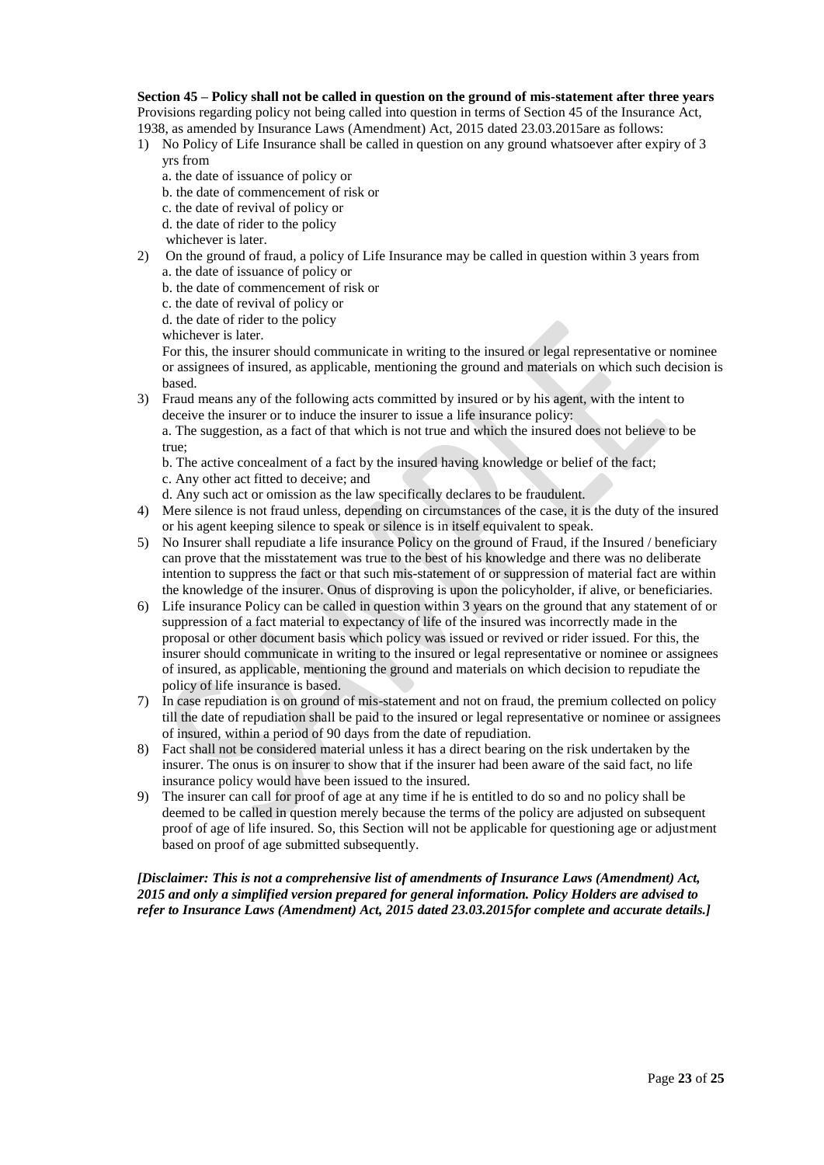#### **Section 45 – Policy shall not be called in question on the ground of mis-statement after three years** Provisions regarding policy not being called into question in terms of Section 45 of the Insurance Act, 1938, as amended by Insurance Laws (Amendment) Act, 2015 dated 23.03.2015are as follows:

- 1) No Policy of Life Insurance shall be called in question on any ground whatsoever after expiry of 3 yrs from
	- a. the date of issuance of policy or
	- b. the date of commencement of risk or
	- c. the date of revival of policy or
	- d. the date of rider to the policy
	- whichever is later.
- 2) On the ground of fraud, a policy of Life Insurance may be called in question within 3 years from a. the date of issuance of policy or
	- b. the date of commencement of risk or
	- c. the date of revival of policy or
	- d. the date of rider to the policy

whichever is later.

For this, the insurer should communicate in writing to the insured or legal representative or nominee or assignees of insured, as applicable, mentioning the ground and materials on which such decision is based.

3) Fraud means any of the following acts committed by insured or by his agent, with the intent to deceive the insurer or to induce the insurer to issue a life insurance policy:

a. The suggestion, as a fact of that which is not true and which the insured does not believe to be true;

- b. The active concealment of a fact by the insured having knowledge or belief of the fact; c. Any other act fitted to deceive; and
- d. Any such act or omission as the law specifically declares to be fraudulent.
- 4) Mere silence is not fraud unless, depending on circumstances of the case, it is the duty of the insured or his agent keeping silence to speak or silence is in itself equivalent to speak.
- 5) No Insurer shall repudiate a life insurance Policy on the ground of Fraud, if the Insured / beneficiary can prove that the misstatement was true to the best of his knowledge and there was no deliberate intention to suppress the fact or that such mis-statement of or suppression of material fact are within the knowledge of the insurer. Onus of disproving is upon the policyholder, if alive, or beneficiaries.
- 6) Life insurance Policy can be called in question within 3 years on the ground that any statement of or suppression of a fact material to expectancy of life of the insured was incorrectly made in the proposal or other document basis which policy was issued or revived or rider issued. For this, the insurer should communicate in writing to the insured or legal representative or nominee or assignees of insured, as applicable, mentioning the ground and materials on which decision to repudiate the policy of life insurance is based.
- 7) In case repudiation is on ground of mis-statement and not on fraud, the premium collected on policy till the date of repudiation shall be paid to the insured or legal representative or nominee or assignees of insured, within a period of 90 days from the date of repudiation.
- 8) Fact shall not be considered material unless it has a direct bearing on the risk undertaken by the insurer. The onus is on insurer to show that if the insurer had been aware of the said fact, no life insurance policy would have been issued to the insured.
- 9) The insurer can call for proof of age at any time if he is entitled to do so and no policy shall be deemed to be called in question merely because the terms of the policy are adjusted on subsequent proof of age of life insured. So, this Section will not be applicable for questioning age or adjustment based on proof of age submitted subsequently.

*[Disclaimer: This is not a comprehensive list of amendments of Insurance Laws (Amendment) Act, 2015 and only a simplified version prepared for general information. Policy Holders are advised to refer to Insurance Laws (Amendment) Act, 2015 dated 23.03.2015for complete and accurate details.]*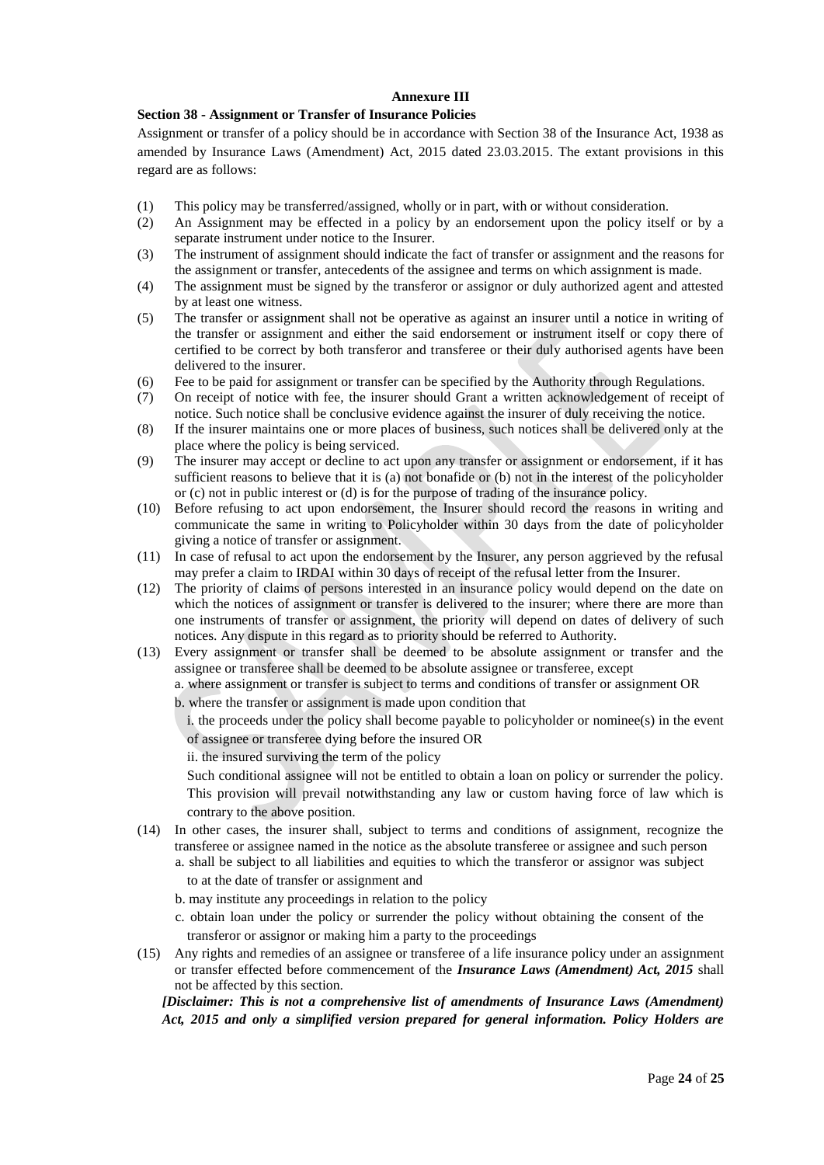# **Annexure III**

## **Section 38 - Assignment or Transfer of Insurance Policies**

Assignment or transfer of a policy should be in accordance with Section 38 of the Insurance Act, 1938 as amended by Insurance Laws (Amendment) Act, 2015 dated 23.03.2015. The extant provisions in this regard are as follows:

- (1) This policy may be transferred/assigned, wholly or in part, with or without consideration.
- (2) An Assignment may be effected in a policy by an endorsement upon the policy itself or by a separate instrument under notice to the Insurer.
- (3) The instrument of assignment should indicate the fact of transfer or assignment and the reasons for the assignment or transfer, antecedents of the assignee and terms on which assignment is made.
- (4) The assignment must be signed by the transferor or assignor or duly authorized agent and attested by at least one witness.
- (5) The transfer or assignment shall not be operative as against an insurer until a notice in writing of the transfer or assignment and either the said endorsement or instrument itself or copy there of certified to be correct by both transferor and transferee or their duly authorised agents have been delivered to the insurer.
- (6) Fee to be paid for assignment or transfer can be specified by the Authority through Regulations.
- (7) On receipt of notice with fee, the insurer should Grant a written acknowledgement of receipt of notice. Such notice shall be conclusive evidence against the insurer of duly receiving the notice.
- (8) If the insurer maintains one or more places of business, such notices shall be delivered only at the place where the policy is being serviced.
- (9) The insurer may accept or decline to act upon any transfer or assignment or endorsement, if it has sufficient reasons to believe that it is (a) not bonafide or (b) not in the interest of the policyholder or (c) not in public interest or (d) is for the purpose of trading of the insurance policy.
- (10) Before refusing to act upon endorsement, the Insurer should record the reasons in writing and communicate the same in writing to Policyholder within 30 days from the date of policyholder giving a notice of transfer or assignment.
- (11) In case of refusal to act upon the endorsement by the Insurer, any person aggrieved by the refusal may prefer a claim to IRDAI within 30 days of receipt of the refusal letter from the Insurer.
- (12) The priority of claims of persons interested in an insurance policy would depend on the date on which the notices of assignment or transfer is delivered to the insurer; where there are more than one instruments of transfer or assignment, the priority will depend on dates of delivery of such notices. Any dispute in this regard as to priority should be referred to Authority.
- (13) Every assignment or transfer shall be deemed to be absolute assignment or transfer and the assignee or transferee shall be deemed to be absolute assignee or transferee, except
	- a. where assignment or transfer is subject to terms and conditions of transfer or assignment OR
	- b. where the transfer or assignment is made upon condition that
		- i. the proceeds under the policy shall become payable to policyholder or nominee(s) in the event of assignee or transferee dying before the insured OR
		- ii. the insured surviving the term of the policy

Such conditional assignee will not be entitled to obtain a loan on policy or surrender the policy. This provision will prevail notwithstanding any law or custom having force of law which is contrary to the above position.

- (14) In other cases, the insurer shall, subject to terms and conditions of assignment, recognize the transferee or assignee named in the notice as the absolute transferee or assignee and such person a. shall be subject to all liabilities and equities to which the transferor or assignor was subject to at the date of transfer or assignment and
	- b. may institute any proceedings in relation to the policy
	- c. obtain loan under the policy or surrender the policy without obtaining the consent of the transferor or assignor or making him a party to the proceedings
- (15) Any rights and remedies of an assignee or transferee of a life insurance policy under an assignment or transfer effected before commencement of the *Insurance Laws (Amendment) Act, 2015* shall not be affected by this section.

*[Disclaimer: This is not a comprehensive list of amendments of Insurance Laws (Amendment) Act, 2015 and only a simplified version prepared for general information. Policy Holders are*